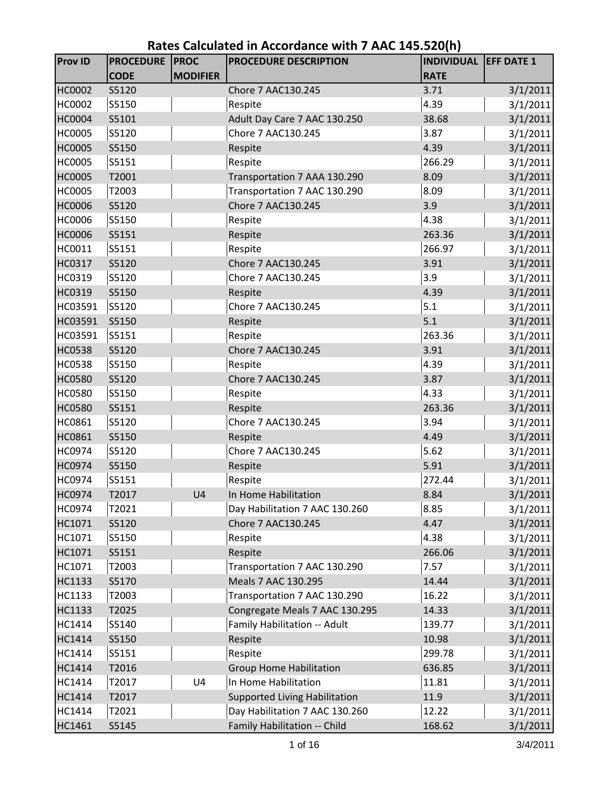| <b>Prov ID</b> | <b>PROCEDURE</b><br><b>CODE</b> | <b>PROC</b><br><b>MODIFIER</b> | <b>PROCEDURE DESCRIPTION</b>         | <b>INDIVIDUAL EFF DATE 1</b><br><b>RATE</b> |          |
|----------------|---------------------------------|--------------------------------|--------------------------------------|---------------------------------------------|----------|
| <b>HC0002</b>  | S5120                           |                                | Chore 7 AAC130.245                   | 3.71                                        | 3/1/2011 |
| HC0002         | S5150                           |                                | Respite                              | 4.39                                        | 3/1/2011 |
| <b>HC0004</b>  | S5101                           |                                | Adult Day Care 7 AAC 130.250         | 38.68                                       | 3/1/2011 |
| <b>HC0005</b>  | S5120                           |                                | Chore 7 AAC130.245                   | 3.87                                        | 3/1/2011 |
| HC0005         | S5150                           |                                | Respite                              | 4.39                                        | 3/1/2011 |
| <b>HC0005</b>  | S5151                           |                                | Respite                              | 266.29                                      | 3/1/2011 |
| <b>HC0005</b>  | T2001                           |                                | Transportation 7 AAA 130.290         | 8.09                                        | 3/1/2011 |
| HC0005         | T2003                           |                                | Transportation 7 AAC 130.290         | 8.09                                        | 3/1/2011 |
| <b>HC0006</b>  | S5120                           |                                | Chore 7 AAC130.245                   | 3.9                                         | 3/1/2011 |
| <b>HC0006</b>  | S5150                           |                                | Respite                              | 4.38                                        | 3/1/2011 |
| HC0006         | S5151                           |                                | Respite                              | 263.36                                      | 3/1/2011 |
| HC0011         | S5151                           |                                | Respite                              | 266.97                                      | 3/1/2011 |
| HC0317         | S5120                           |                                | Chore 7 AAC130.245                   | 3.91                                        | 3/1/2011 |
| HC0319         | S5120                           |                                | Chore 7 AAC130.245                   | 3.9                                         | 3/1/2011 |
| HC0319         | S5150                           |                                | Respite                              | 4.39                                        | 3/1/2011 |
| HC03591        | S5120                           |                                | Chore 7 AAC130.245                   | 5.1                                         | 3/1/2011 |
| HC03591        | S5150                           |                                | Respite                              | 5.1                                         | 3/1/2011 |
| HC03591        | S5151                           |                                | Respite                              | 263.36                                      | 3/1/2011 |
| <b>HC0538</b>  | S5120                           |                                | Chore 7 AAC130.245                   | 3.91                                        | 3/1/2011 |
| <b>HC0538</b>  | S5150                           |                                | Respite                              | 4.39                                        | 3/1/2011 |
| <b>HC0580</b>  | S5120                           |                                | Chore 7 AAC130.245                   | 3.87                                        | 3/1/2011 |
| <b>HC0580</b>  | S5150                           |                                | Respite                              | 4.33                                        | 3/1/2011 |
| <b>HC0580</b>  | S5151                           |                                | Respite                              | 263.36                                      | 3/1/2011 |
| HC0861         | S5120                           |                                | Chore 7 AAC130.245                   | 3.94                                        | 3/1/2011 |
| HC0861         | S5150                           |                                | Respite                              | 4.49                                        | 3/1/2011 |
| HC0974         | S5120                           |                                | Chore 7 AAC130.245                   | 5.62                                        | 3/1/2011 |
| HC0974         | S5150                           |                                | Respite                              | 5.91                                        | 3/1/2011 |
| HC0974         | S5151                           |                                | Respite                              | 272.44                                      | 3/1/2011 |
| HC0974         | T2017                           | U4                             | In Home Habilitation                 | 8.84                                        | 3/1/2011 |
| <b>HC0974</b>  | T2021                           |                                | Day Habilitation 7 AAC 130.260       | 8.85                                        | 3/1/2011 |
| HC1071         | S5120                           |                                | Chore 7 AAC130.245                   | 4.47                                        | 3/1/2011 |
| HC1071         | S5150                           |                                | Respite                              | 4.38                                        | 3/1/2011 |
| HC1071         | S5151                           |                                | Respite                              | 266.06                                      | 3/1/2011 |
| HC1071         | T2003                           |                                | Transportation 7 AAC 130.290         | 7.57                                        | 3/1/2011 |
| HC1133         | S5170                           |                                | Meals 7 AAC 130.295                  | 14.44                                       | 3/1/2011 |
| HC1133         | T2003                           |                                | Transportation 7 AAC 130.290         | 16.22                                       | 3/1/2011 |
| HC1133         | T2025                           |                                | Congregate Meals 7 AAC 130.295       | 14.33                                       | 3/1/2011 |
| HC1414         | S5140                           |                                | Family Habilitation -- Adult         | 139.77                                      | 3/1/2011 |
| HC1414         | S5150                           |                                | Respite                              | 10.98                                       | 3/1/2011 |
| HC1414         | S5151                           |                                | Respite                              | 299.78                                      | 3/1/2011 |
| HC1414         | T2016                           |                                | <b>Group Home Habilitation</b>       | 636.85                                      | 3/1/2011 |
| HC1414         | T2017                           | U4                             | In Home Habilitation                 | 11.81                                       | 3/1/2011 |
| HC1414         | T2017                           |                                | <b>Supported Living Habilitation</b> | 11.9                                        | 3/1/2011 |
| HC1414         | T2021                           |                                | Day Habilitation 7 AAC 130.260       | 12.22                                       | 3/1/2011 |
| HC1461         | S5145                           |                                | Family Habilitation -- Child         | 168.62                                      | 3/1/2011 |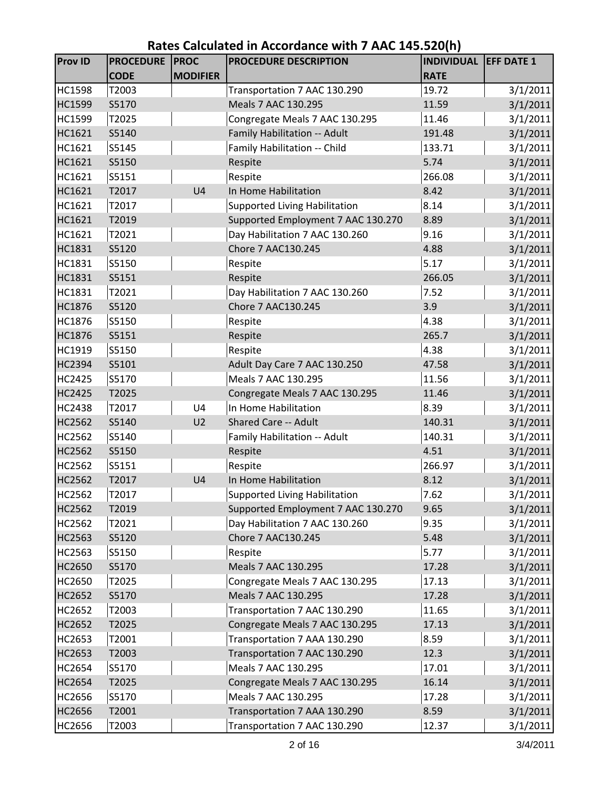| <b>Prov ID</b> | <b>PROCEDURE</b> | <b>PROC</b>     | ,,,,, , , ,, ,, <u>, , ,</u> ,,,,,,,,,,<br><b>PROCEDURE DESCRIPTION</b> | <b>INDIVIDUAL</b> | <b>EFF DATE 1</b> |
|----------------|------------------|-----------------|-------------------------------------------------------------------------|-------------------|-------------------|
|                | <b>CODE</b>      | <b>MODIFIER</b> |                                                                         | <b>RATE</b>       |                   |
| <b>HC1598</b>  | T2003            |                 | Transportation 7 AAC 130.290                                            | 19.72             | 3/1/2011          |
| HC1599         | S5170            |                 | Meals 7 AAC 130.295                                                     | 11.59             | 3/1/2011          |
| HC1599         | T2025            |                 | Congregate Meals 7 AAC 130.295                                          | 11.46             | 3/1/2011          |
| HC1621         | S5140            |                 | Family Habilitation -- Adult                                            | 191.48            | 3/1/2011          |
| HC1621         | S5145            |                 | Family Habilitation -- Child                                            | 133.71            | 3/1/2011          |
| HC1621         | S5150            |                 | Respite                                                                 | 5.74              | 3/1/2011          |
| HC1621         | S5151            |                 | Respite                                                                 | 266.08            | 3/1/2011          |
| HC1621         | T2017            | U <sub>4</sub>  | In Home Habilitation                                                    | 8.42              | 3/1/2011          |
| HC1621         | T2017            |                 | <b>Supported Living Habilitation</b>                                    | 8.14              | 3/1/2011          |
| HC1621         | T2019            |                 | Supported Employment 7 AAC 130.270                                      | 8.89              | 3/1/2011          |
| HC1621         | T2021            |                 | Day Habilitation 7 AAC 130.260                                          | 9.16              | 3/1/2011          |
| HC1831         | S5120            |                 | Chore 7 AAC130.245                                                      | 4.88              | 3/1/2011          |
| HC1831         | S5150            |                 | Respite                                                                 | 5.17              | 3/1/2011          |
| HC1831         | S5151            |                 | Respite                                                                 | 266.05            | 3/1/2011          |
| HC1831         | T2021            |                 | Day Habilitation 7 AAC 130.260                                          | 7.52              | 3/1/2011          |
| HC1876         | S5120            |                 | Chore 7 AAC130.245                                                      | 3.9               | 3/1/2011          |
| HC1876         | S5150            |                 | Respite                                                                 | 4.38              | 3/1/2011          |
| HC1876         | S5151            |                 | Respite                                                                 | 265.7             | 3/1/2011          |
| HC1919         | S5150            |                 | Respite                                                                 | 4.38              | 3/1/2011          |
| <b>HC2394</b>  | S5101            |                 | Adult Day Care 7 AAC 130.250                                            | 47.58             | 3/1/2011          |
| <b>HC2425</b>  | S5170            |                 | Meals 7 AAC 130.295                                                     | 11.56             | 3/1/2011          |
| <b>HC2425</b>  | T2025            |                 | Congregate Meals 7 AAC 130.295                                          | 11.46             | 3/1/2011          |
| <b>HC2438</b>  | T2017            | U <sub>4</sub>  | In Home Habilitation                                                    | 8.39              | 3/1/2011          |
| <b>HC2562</b>  | S5140            | U <sub>2</sub>  | <b>Shared Care -- Adult</b>                                             | 140.31            | 3/1/2011          |
| <b>HC2562</b>  | S5140            |                 | Family Habilitation -- Adult                                            | 140.31            | 3/1/2011          |
| <b>HC2562</b>  | S5150            |                 | Respite                                                                 | 4.51              | 3/1/2011          |
| HC2562         | S5151            |                 | Respite                                                                 | 266.97            | 3/1/2011          |
| HC2562         | T2017            | U <sub>4</sub>  | In Home Habilitation                                                    | 8.12              | 3/1/2011          |
| HC2562         | T2017            |                 | Supported Living Habilitation                                           | 7.62              | 3/1/2011          |
| <b>HC2562</b>  | T2019            |                 | Supported Employment 7 AAC 130.270                                      | 9.65              | 3/1/2011          |
| HC2562         | T2021            |                 | Day Habilitation 7 AAC 130.260                                          | 9.35              | 3/1/2011          |
| HC2563         | S5120            |                 | Chore 7 AAC130.245                                                      | 5.48              | 3/1/2011          |
| HC2563         | S5150            |                 | Respite                                                                 | 5.77              | 3/1/2011          |
| HC2650         | S5170            |                 | Meals 7 AAC 130.295                                                     | 17.28             | 3/1/2011          |
| HC2650         | T2025            |                 | Congregate Meals 7 AAC 130.295                                          | 17.13             | 3/1/2011          |
| <b>HC2652</b>  | S5170            |                 | Meals 7 AAC 130.295                                                     | 17.28             | 3/1/2011          |
| HC2652         | T2003            |                 | Transportation 7 AAC 130.290                                            | 11.65             | 3/1/2011          |
| HC2652         | T2025            |                 | Congregate Meals 7 AAC 130.295                                          | 17.13             | 3/1/2011          |
| HC2653         | T2001            |                 | Transportation 7 AAA 130.290                                            | 8.59              | 3/1/2011          |
| HC2653         | T2003            |                 | Transportation 7 AAC 130.290                                            | 12.3              | 3/1/2011          |
| <b>HC2654</b>  | S5170            |                 | Meals 7 AAC 130.295                                                     | 17.01             | 3/1/2011          |
| <b>HC2654</b>  | T2025            |                 | Congregate Meals 7 AAC 130.295                                          | 16.14             | 3/1/2011          |
| HC2656         | S5170            |                 | Meals 7 AAC 130.295                                                     | 17.28             | 3/1/2011          |
| HC2656         | T2001            |                 | Transportation 7 AAA 130.290                                            | 8.59              | 3/1/2011          |
| HC2656         | T2003            |                 | Transportation 7 AAC 130.290                                            | 12.37             | 3/1/2011          |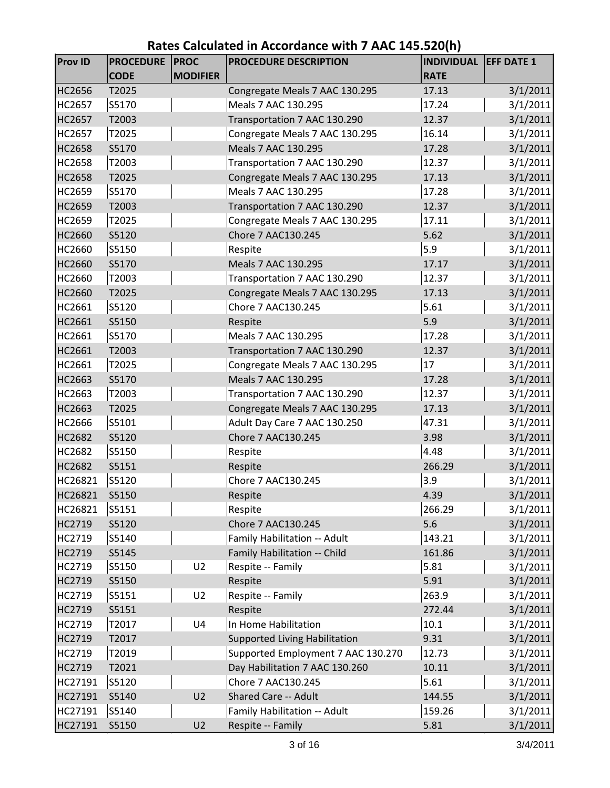| <b>Prov ID</b> | <b>PROCEDURE</b> | <b>PROC</b>     | <b>PROCEDURE DESCRIPTION</b>         | <b>INDIVIDUAL EFF DATE 1</b> |          |
|----------------|------------------|-----------------|--------------------------------------|------------------------------|----------|
|                | <b>CODE</b>      | <b>MODIFIER</b> |                                      | <b>RATE</b>                  |          |
| <b>HC2656</b>  | T2025            |                 | Congregate Meals 7 AAC 130.295       | 17.13                        | 3/1/2011 |
| <b>HC2657</b>  | S5170            |                 | Meals 7 AAC 130.295                  | 17.24                        | 3/1/2011 |
| <b>HC2657</b>  | T2003            |                 | Transportation 7 AAC 130.290         | 12.37                        | 3/1/2011 |
| <b>HC2657</b>  | T2025            |                 | Congregate Meals 7 AAC 130.295       | 16.14                        | 3/1/2011 |
| <b>HC2658</b>  | S5170            |                 | Meals 7 AAC 130.295                  | 17.28                        | 3/1/2011 |
| <b>HC2658</b>  | T2003            |                 | Transportation 7 AAC 130.290         | 12.37                        | 3/1/2011 |
| <b>HC2658</b>  | T2025            |                 | Congregate Meals 7 AAC 130.295       | 17.13                        | 3/1/2011 |
| HC2659         | S5170            |                 | Meals 7 AAC 130.295                  | 17.28                        | 3/1/2011 |
| HC2659         | T2003            |                 | Transportation 7 AAC 130.290         | 12.37                        | 3/1/2011 |
| HC2659         | T2025            |                 | Congregate Meals 7 AAC 130.295       | 17.11                        | 3/1/2011 |
| HC2660         | S5120            |                 | Chore 7 AAC130.245                   | 5.62                         | 3/1/2011 |
| HC2660         | S5150            |                 | Respite                              | 5.9                          | 3/1/2011 |
| HC2660         | S5170            |                 | Meals 7 AAC 130.295                  | 17.17                        | 3/1/2011 |
| HC2660         | T2003            |                 | Transportation 7 AAC 130.290         | 12.37                        | 3/1/2011 |
| HC2660         | T2025            |                 | Congregate Meals 7 AAC 130.295       | 17.13                        | 3/1/2011 |
| HC2661         | S5120            |                 | Chore 7 AAC130.245                   | 5.61                         | 3/1/2011 |
| HC2661         | S5150            |                 | Respite                              | 5.9                          | 3/1/2011 |
| HC2661         | S5170            |                 | Meals 7 AAC 130.295                  | 17.28                        | 3/1/2011 |
| HC2661         | T2003            |                 | Transportation 7 AAC 130.290         | 12.37                        | 3/1/2011 |
| HC2661         | T2025            |                 | Congregate Meals 7 AAC 130.295       | 17                           | 3/1/2011 |
| HC2663         | S5170            |                 | Meals 7 AAC 130.295                  | 17.28                        | 3/1/2011 |
| HC2663         | T2003            |                 | Transportation 7 AAC 130.290         | 12.37                        | 3/1/2011 |
| HC2663         | T2025            |                 | Congregate Meals 7 AAC 130.295       | 17.13                        | 3/1/2011 |
| HC2666         | S5101            |                 | Adult Day Care 7 AAC 130.250         | 47.31                        | 3/1/2011 |
| <b>HC2682</b>  | S5120            |                 | Chore 7 AAC130.245                   | 3.98                         | 3/1/2011 |
| <b>HC2682</b>  | S5150            |                 | Respite                              | 4.48                         | 3/1/2011 |
| <b>HC2682</b>  | S5151            |                 | Respite                              | 266.29                       | 3/1/2011 |
| HC26821        | S5120            |                 | Chore 7 AAC130.245                   | 3.9                          | 3/1/2011 |
| HC26821        | S5150            |                 | Respite                              | 4.39                         | 3/1/2011 |
| HC26821        | S5151            |                 | Respite                              | 266.29                       | 3/1/2011 |
| HC2719         | S5120            |                 | Chore 7 AAC130.245                   | 5.6                          | 3/1/2011 |
| HC2719         | S5140            |                 | Family Habilitation -- Adult         | 143.21                       | 3/1/2011 |
| HC2719         | S5145            |                 | Family Habilitation -- Child         | 161.86                       | 3/1/2011 |
| HC2719         | S5150            | U <sub>2</sub>  | Respite -- Family                    | 5.81                         | 3/1/2011 |
| HC2719         | S5150            |                 | Respite                              | 5.91                         | 3/1/2011 |
| HC2719         | S5151            | U <sub>2</sub>  | Respite -- Family                    | 263.9                        | 3/1/2011 |
| HC2719         | S5151            |                 | Respite                              | 272.44                       | 3/1/2011 |
| HC2719         | T2017            | U4              | In Home Habilitation                 | 10.1                         | 3/1/2011 |
| HC2719         | T2017            |                 | <b>Supported Living Habilitation</b> | 9.31                         | 3/1/2011 |
| HC2719         | T2019            |                 | Supported Employment 7 AAC 130.270   | 12.73                        | 3/1/2011 |
| HC2719         | T2021            |                 | Day Habilitation 7 AAC 130.260       | 10.11                        | 3/1/2011 |
| HC27191        | S5120            |                 | Chore 7 AAC130.245                   | 5.61                         | 3/1/2011 |
| HC27191        | S5140            | U <sub>2</sub>  | <b>Shared Care -- Adult</b>          | 144.55                       | 3/1/2011 |
| HC27191        | S5140            |                 | Family Habilitation -- Adult         | 159.26                       | 3/1/2011 |
| HC27191        | S5150            | U <sub>2</sub>  | Respite -- Family                    | 5.81                         | 3/1/2011 |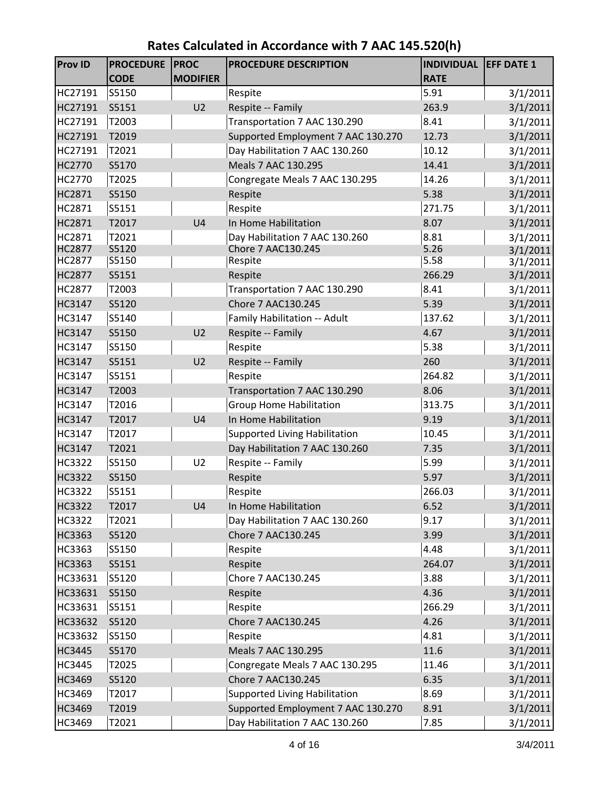| <b>Prov ID</b>                 | <b>PROCEDURE</b><br><b>CODE</b> | <b>PROC</b><br><b>MODIFIER</b> | <b>PROCEDURE DESCRIPTION</b>            | <b>INDIVIDUAL</b><br><b>RATE</b> | <b>EFF DATE 1</b>    |
|--------------------------------|---------------------------------|--------------------------------|-----------------------------------------|----------------------------------|----------------------|
| HC27191                        | S5150                           |                                | Respite                                 | 5.91                             | 3/1/2011             |
| HC27191                        | S5151                           | U <sub>2</sub>                 | Respite -- Family                       | 263.9                            | 3/1/2011             |
| HC27191                        | T2003                           |                                | Transportation 7 AAC 130.290            | 8.41                             | 3/1/2011             |
| HC27191                        | T2019                           |                                | Supported Employment 7 AAC 130.270      | 12.73                            | 3/1/2011             |
| HC27191                        | T2021                           |                                | Day Habilitation 7 AAC 130.260          | 10.12                            | 3/1/2011             |
| HC2770                         | S5170                           |                                | Meals 7 AAC 130.295                     | 14.41                            | 3/1/2011             |
| HC2770                         | T2025                           |                                | Congregate Meals 7 AAC 130.295          | 14.26                            | 3/1/2011             |
| <b>HC2871</b>                  | S5150                           |                                | Respite                                 | 5.38                             | 3/1/2011             |
| HC2871                         | S5151                           |                                | Respite                                 | 271.75                           | 3/1/2011             |
| HC2871                         | T2017                           | U <sub>4</sub>                 | In Home Habilitation                    | 8.07                             | 3/1/2011             |
| HC2871                         | T2021                           |                                | Day Habilitation 7 AAC 130.260          | 8.81                             | 3/1/2011             |
| <b>HC2877</b>                  | S5120                           |                                | Chore 7 AAC130.245                      | 5.26                             | 3/1/2011             |
| <b>HC2877</b>                  | S5150                           |                                | Respite                                 | 5.58                             | 3/1/2011             |
| <b>HC2877</b>                  | S5151                           |                                | Respite                                 | 266.29                           | 3/1/2011             |
| <b>HC2877</b>                  | T2003                           |                                | Transportation 7 AAC 130.290            | 8.41                             | 3/1/2011             |
| <b>HC3147</b>                  | S5120                           |                                | Chore 7 AAC130.245                      | 5.39                             | 3/1/2011             |
| HC3147                         | S5140                           |                                | Family Habilitation -- Adult            | 137.62                           | 3/1/2011             |
| HC3147                         | S5150                           | U <sub>2</sub>                 | Respite -- Family                       | 4.67<br>5.38                     | 3/1/2011             |
| <b>HC3147</b><br><b>HC3147</b> | S5150<br>S5151                  | U <sub>2</sub>                 | Respite<br>Respite -- Family            | 260                              | 3/1/2011             |
|                                | S5151                           |                                |                                         | 264.82                           | 3/1/2011             |
| HC3147<br>HC3147               | T2003                           |                                | Respite<br>Transportation 7 AAC 130.290 | 8.06                             | 3/1/2011<br>3/1/2011 |
| HC3147                         | T2016                           |                                | <b>Group Home Habilitation</b>          | 313.75                           | 3/1/2011             |
| HC3147                         | T2017                           | U <sub>4</sub>                 | In Home Habilitation                    | 9.19                             | 3/1/2011             |
| <b>HC3147</b>                  | T2017                           |                                | <b>Supported Living Habilitation</b>    | 10.45                            | 3/1/2011             |
| <b>HC3147</b>                  | T2021                           |                                | Day Habilitation 7 AAC 130.260          | 7.35                             | 3/1/2011             |
| HC3322                         | S5150                           | U <sub>2</sub>                 | Respite -- Family                       | 5.99                             | 3/1/2011             |
| <b>HC3322</b>                  | S5150                           |                                | Respite                                 | 5.97                             | 3/1/2011             |
| <b>HC3322</b>                  | S5151                           |                                | Respite                                 | 266.03                           | 3/1/2011             |
| <b>HC3322</b>                  | T2017                           | U <sub>4</sub>                 | In Home Habilitation                    | 6.52                             | 3/1/2011             |
| HC3322                         | T2021                           |                                | Day Habilitation 7 AAC 130.260          | 9.17                             | 3/1/2011             |
| <b>HC3363</b>                  | S5120                           |                                | Chore 7 AAC130.245                      | 3.99                             | 3/1/2011             |
| HC3363                         | S5150                           |                                | Respite                                 | 4.48                             | 3/1/2011             |
| HC3363                         | S5151                           |                                | Respite                                 | 264.07                           | 3/1/2011             |
| HC33631                        | S5120                           |                                | Chore 7 AAC130.245                      | 3.88                             | 3/1/2011             |
| HC33631                        | S5150                           |                                | Respite                                 | 4.36                             | 3/1/2011             |
| HC33631                        | S5151                           |                                | Respite                                 | 266.29                           | 3/1/2011             |
| HC33632                        | S5120                           |                                | Chore 7 AAC130.245                      | 4.26                             | 3/1/2011             |
| HC33632                        | S5150                           |                                | Respite                                 | 4.81                             | 3/1/2011             |
| <b>HC3445</b>                  | S5170                           |                                | Meals 7 AAC 130.295                     | 11.6                             | 3/1/2011             |
| HC3445                         | T2025                           |                                | Congregate Meals 7 AAC 130.295          | 11.46                            | 3/1/2011             |
| HC3469                         | S5120                           |                                | Chore 7 AAC130.245                      | 6.35                             | 3/1/2011             |
| HC3469                         | T2017                           |                                | <b>Supported Living Habilitation</b>    | 8.69                             | 3/1/2011             |
| HC3469                         | T2019                           |                                | Supported Employment 7 AAC 130.270      | 8.91                             | 3/1/2011             |
| HC3469                         | T2021                           |                                | Day Habilitation 7 AAC 130.260          | 7.85                             | 3/1/2011             |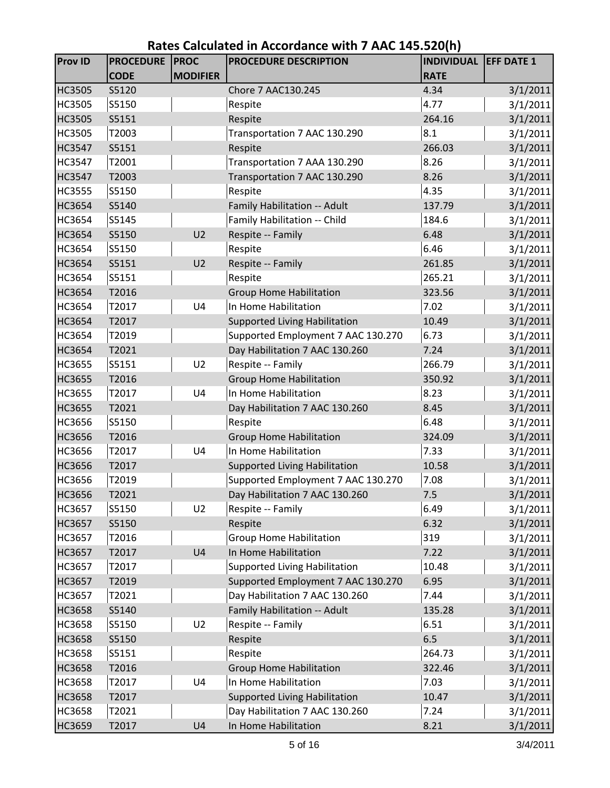| <b>Prov ID</b> | <b>PROCEDURE</b><br><b>CODE</b> | <b>PROC</b><br><b>MODIFIER</b> | PROCEDURE DESCRIPTION                | <b>INDIVIDUAL</b><br><b>RATE</b> | <b>EFF DATE 1</b> |
|----------------|---------------------------------|--------------------------------|--------------------------------------|----------------------------------|-------------------|
| <b>HC3505</b>  | S5120                           |                                | Chore 7 AAC130.245                   | 4.34                             | 3/1/2011          |
| <b>HC3505</b>  | S5150                           |                                | Respite                              | 4.77                             | 3/1/2011          |
| <b>HC3505</b>  | S5151                           |                                | Respite                              | 264.16                           | 3/1/2011          |
| <b>HC3505</b>  | T2003                           |                                | Transportation 7 AAC 130.290         | 8.1                              | 3/1/2011          |
| <b>HC3547</b>  | S5151                           |                                | Respite                              | 266.03                           | 3/1/2011          |
| <b>HC3547</b>  | T2001                           |                                | Transportation 7 AAA 130.290         | 8.26                             | 3/1/2011          |
| <b>HC3547</b>  | T2003                           |                                | Transportation 7 AAC 130.290         | 8.26                             | 3/1/2011          |
| <b>HC3555</b>  | S5150                           |                                | Respite                              | 4.35                             | 3/1/2011          |
| <b>HC3654</b>  | S5140                           |                                | Family Habilitation -- Adult         | 137.79                           | 3/1/2011          |
| <b>HC3654</b>  | S5145                           |                                | Family Habilitation -- Child         | 184.6                            | 3/1/2011          |
| HC3654         | S5150                           | U <sub>2</sub>                 | Respite -- Family                    | 6.48                             | 3/1/2011          |
| HC3654         | S5150                           |                                | Respite                              | 6.46                             | 3/1/2011          |
| <b>HC3654</b>  | S5151                           | U <sub>2</sub>                 | Respite -- Family                    | 261.85                           | 3/1/2011          |
| HC3654         | S5151                           |                                | Respite                              | 265.21                           | 3/1/2011          |
| <b>HC3654</b>  | T2016                           |                                | <b>Group Home Habilitation</b>       | 323.56                           | 3/1/2011          |
| <b>HC3654</b>  | T2017                           | U <sub>4</sub>                 | In Home Habilitation                 | 7.02                             | 3/1/2011          |
| <b>HC3654</b>  | T2017                           |                                | <b>Supported Living Habilitation</b> | 10.49                            | 3/1/2011          |
| HC3654         | T2019                           |                                | Supported Employment 7 AAC 130.270   | 6.73                             | 3/1/2011          |
| <b>HC3654</b>  | T2021                           |                                | Day Habilitation 7 AAC 130.260       | 7.24                             | 3/1/2011          |
| <b>HC3655</b>  | S5151                           | U <sub>2</sub>                 | Respite -- Family                    | 266.79                           | 3/1/2011          |
| <b>HC3655</b>  | T2016                           |                                | <b>Group Home Habilitation</b>       | 350.92                           | 3/1/2011          |
| HC3655         | T2017                           | U <sub>4</sub>                 | In Home Habilitation                 | 8.23                             | 3/1/2011          |
| <b>HC3655</b>  | T2021                           |                                | Day Habilitation 7 AAC 130.260       | 8.45                             | 3/1/2011          |
| HC3656         | S5150                           |                                | Respite                              | 6.48                             | 3/1/2011          |
| <b>HC3656</b>  | T2016                           |                                | <b>Group Home Habilitation</b>       | 324.09                           | 3/1/2011          |
| HC3656         | T2017                           | U4                             | In Home Habilitation                 | 7.33                             | 3/1/2011          |
| <b>HC3656</b>  | T2017                           |                                | <b>Supported Living Habilitation</b> | 10.58                            | 3/1/2011          |
| HC3656         | T2019                           |                                | Supported Employment 7 AAC 130.270   | 7.08                             | 3/1/2011          |
| <b>HC3656</b>  | T2021                           |                                | Day Habilitation 7 AAC 130.260       | 7.5                              | 3/1/2011          |
| <b>HC3657</b>  | S5150                           | U <sub>2</sub>                 | Respite -- Family                    | 6.49                             | 3/1/2011          |
| HC3657         | S5150                           |                                | Respite                              | 6.32                             | 3/1/2011          |
| <b>HC3657</b>  | T2016                           |                                | <b>Group Home Habilitation</b>       | 319                              | 3/1/2011          |
| HC3657         | T2017                           | U <sub>4</sub>                 | In Home Habilitation                 | 7.22                             | 3/1/2011          |
| HC3657         | T2017                           |                                | <b>Supported Living Habilitation</b> | 10.48                            | 3/1/2011          |
| HC3657         | T2019                           |                                | Supported Employment 7 AAC 130.270   | 6.95                             | 3/1/2011          |
| HC3657         | T2021                           |                                | Day Habilitation 7 AAC 130.260       | 7.44                             | 3/1/2011          |
| <b>HC3658</b>  | S5140                           |                                | Family Habilitation -- Adult         | 135.28                           | 3/1/2011          |
| <b>HC3658</b>  | S5150                           | U <sub>2</sub>                 | Respite -- Family                    | 6.51                             | 3/1/2011          |
| <b>HC3658</b>  | S5150                           |                                | Respite                              | 6.5                              | 3/1/2011          |
| HC3658         | S5151                           |                                | Respite                              | 264.73                           | 3/1/2011          |
| HC3658         | T2016                           |                                | <b>Group Home Habilitation</b>       | 322.46                           | 3/1/2011          |
| <b>HC3658</b>  | T2017                           | U4                             | In Home Habilitation                 | 7.03                             | 3/1/2011          |
| HC3658         | T2017                           |                                | <b>Supported Living Habilitation</b> | 10.47                            | 3/1/2011          |
| HC3658         | T2021                           |                                | Day Habilitation 7 AAC 130.260       | 7.24                             | 3/1/2011          |
| HC3659         | T2017                           | U <sub>4</sub>                 | In Home Habilitation                 | 8.21                             | 3/1/2011          |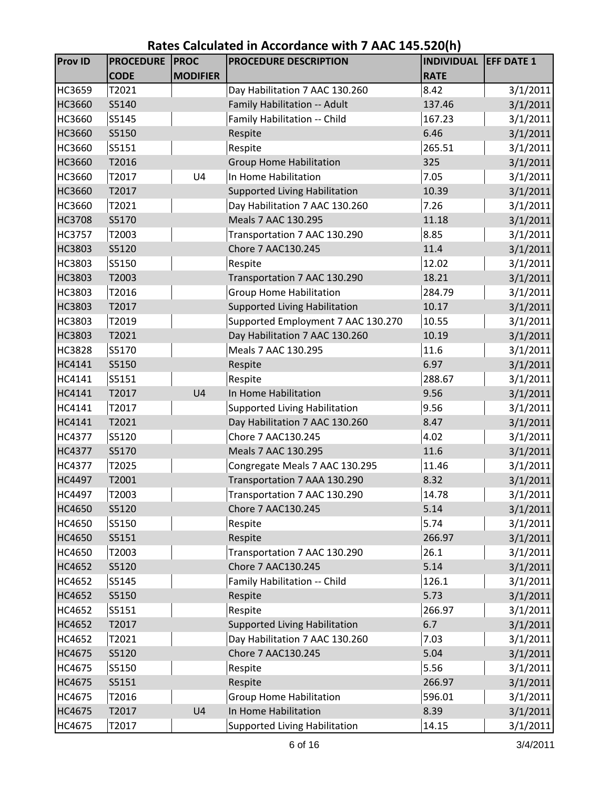| <b>Prov ID</b>   | <b>PROCEDURE</b> | <b>PROC</b>     | PROCEDURE DESCRIPTION                   | <b>INDIVIDUAL</b> | <b>EFF DATE 1</b>    |
|------------------|------------------|-----------------|-----------------------------------------|-------------------|----------------------|
|                  | <b>CODE</b>      | <b>MODIFIER</b> |                                         | <b>RATE</b>       |                      |
| HC3659           | T2021            |                 | Day Habilitation 7 AAC 130.260          | 8.42              | 3/1/2011             |
| <b>HC3660</b>    | S5140            |                 | Family Habilitation -- Adult            | 137.46            | 3/1/2011             |
| HC3660           | S5145            |                 | Family Habilitation -- Child            | 167.23            | 3/1/2011             |
| <b>HC3660</b>    | S5150            |                 | Respite                                 | 6.46              | 3/1/2011             |
| HC3660           | S5151            |                 | Respite                                 | 265.51            | 3/1/2011             |
| <b>HC3660</b>    | T2016            |                 | <b>Group Home Habilitation</b>          | 325               | 3/1/2011             |
| HC3660           | T2017            | U4              | In Home Habilitation                    | 7.05              | 3/1/2011             |
| <b>HC3660</b>    | T2017            |                 | <b>Supported Living Habilitation</b>    | 10.39             | 3/1/2011             |
| HC3660           | T2021            |                 | Day Habilitation 7 AAC 130.260          | 7.26              | 3/1/2011             |
| <b>HC3708</b>    | S5170            |                 | Meals 7 AAC 130.295                     | 11.18             | 3/1/2011             |
| <b>HC3757</b>    | T2003            |                 | Transportation 7 AAC 130.290            | 8.85              | 3/1/2011             |
| <b>HC3803</b>    | S5120            |                 | Chore 7 AAC130.245                      | 11.4              | 3/1/2011             |
| HC3803           | S5150            |                 | Respite                                 | 12.02             | 3/1/2011             |
| HC3803           | T2003            |                 | Transportation 7 AAC 130.290            | 18.21             | 3/1/2011             |
| HC3803           | T2016            |                 | <b>Group Home Habilitation</b>          | 284.79            | 3/1/2011             |
| <b>HC3803</b>    | T2017            |                 | <b>Supported Living Habilitation</b>    | 10.17             | 3/1/2011             |
| HC3803           | T2019            |                 | Supported Employment 7 AAC 130.270      | 10.55             | 3/1/2011             |
| HC3803           | T2021            |                 | Day Habilitation 7 AAC 130.260          | 10.19             | 3/1/2011             |
| <b>HC3828</b>    | S5170            |                 | Meals 7 AAC 130.295                     | 11.6              | 3/1/2011             |
| HC4141           | S5150            |                 | Respite                                 | 6.97              | 3/1/2011             |
| HC4141           | S5151            |                 | Respite                                 | 288.67            | 3/1/2011             |
| HC4141           | T2017            | U <sub>4</sub>  | In Home Habilitation                    | 9.56              | 3/1/2011             |
| HC4141           | T2017            |                 | <b>Supported Living Habilitation</b>    | 9.56              | 3/1/2011             |
| HC4141           | T2021            |                 | Day Habilitation 7 AAC 130.260          | 8.47              | 3/1/2011             |
| <b>HC4377</b>    | S5120            |                 | Chore 7 AAC130.245                      | 4.02              | 3/1/2011             |
| HC4377           | S5170            |                 | Meals 7 AAC 130.295                     | 11.6              | 3/1/2011             |
| <b>HC4377</b>    | T2025            |                 | Congregate Meals 7 AAC 130.295          | 11.46             | 3/1/2011             |
| <b>HC4497</b>    | T2001            |                 | Transportation 7 AAA 130.290            | 8.32              | 3/1/2011             |
| HC4497           | T2003            |                 | Transportation 7 AAC 130.290            | 14.78             | 3/1/2011             |
| HC4650           | S5120            |                 | Chore 7 AAC130.245                      | 5.14              | 3/1/2011             |
| HC4650           | S5150            |                 | Respite                                 | 5.74              | 3/1/2011             |
| <b>HC4650</b>    | S5151            |                 | Respite<br>Transportation 7 AAC 130.290 | 266.97<br>26.1    | 3/1/2011             |
| HC4650<br>HC4652 | T2003<br>S5120   |                 | Chore 7 AAC130.245                      | 5.14              | 3/1/2011<br>3/1/2011 |
| HC4652           | S5145            |                 | Family Habilitation -- Child            | 126.1             | 3/1/2011             |
| HC4652           | S5150            |                 | Respite                                 | 5.73              | 3/1/2011             |
| HC4652           | S5151            |                 | Respite                                 | 266.97            | 3/1/2011             |
| HC4652           | T2017            |                 | <b>Supported Living Habilitation</b>    | 6.7               | 3/1/2011             |
| HC4652           | T2021            |                 | Day Habilitation 7 AAC 130.260          | 7.03              | 3/1/2011             |
| HC4675           | S5120            |                 | Chore 7 AAC130.245                      | 5.04              | 3/1/2011             |
| HC4675           | S5150            |                 | Respite                                 | 5.56              | 3/1/2011             |
| HC4675           | S5151            |                 | Respite                                 | 266.97            | 3/1/2011             |
| HC4675           | T2016            |                 | <b>Group Home Habilitation</b>          | 596.01            | 3/1/2011             |
| HC4675           | T2017            | U <sub>4</sub>  | In Home Habilitation                    | 8.39              | 3/1/2011             |
| HC4675           | T2017            |                 | <b>Supported Living Habilitation</b>    | 14.15             | 3/1/2011             |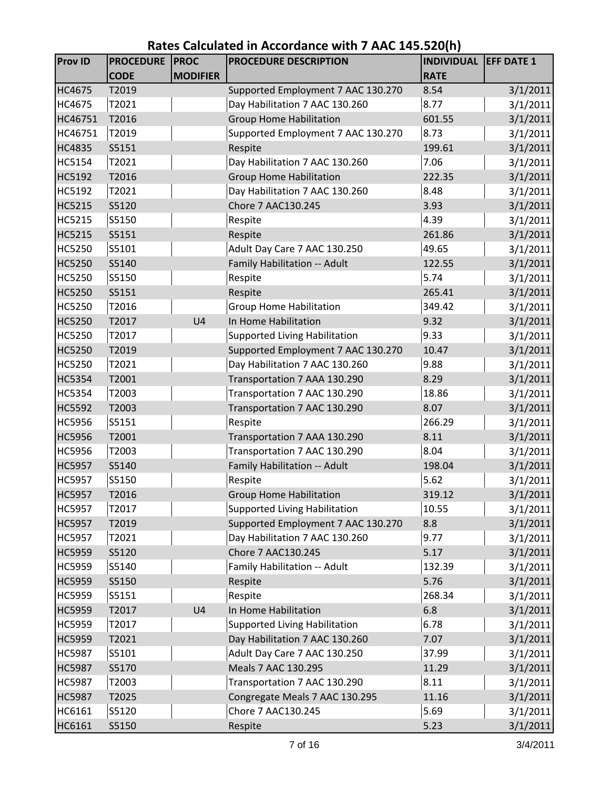| <b>Prov ID</b> | <b>PROCEDURE</b> | <b>PROC</b>     | PROCEDURE DESCRIPTION                | <b>INDIVIDUAL</b> | <b>EFF DATE 1</b> |
|----------------|------------------|-----------------|--------------------------------------|-------------------|-------------------|
|                | <b>CODE</b>      | <b>MODIFIER</b> |                                      | <b>RATE</b>       |                   |
| HC4675         | T2019            |                 | Supported Employment 7 AAC 130.270   | 8.54              | 3/1/2011          |
| HC4675         | T2021            |                 | Day Habilitation 7 AAC 130.260       | 8.77              | 3/1/2011          |
| HC46751        | T2016            |                 | <b>Group Home Habilitation</b>       | 601.55            | 3/1/2011          |
| HC46751        | T2019            |                 | Supported Employment 7 AAC 130.270   | 8.73              | 3/1/2011          |
| HC4835         | S5151            |                 | Respite                              | 199.61            | 3/1/2011          |
| HC5154         | T2021            |                 | Day Habilitation 7 AAC 130.260       | 7.06              | 3/1/2011          |
| HC5192         | T2016            |                 | <b>Group Home Habilitation</b>       | 222.35            | 3/1/2011          |
| HC5192         | T2021            |                 | Day Habilitation 7 AAC 130.260       | 8.48              | 3/1/2011          |
| HC5215         | S5120            |                 | Chore 7 AAC130.245                   | 3.93              | 3/1/2011          |
| HC5215         | S5150            |                 | Respite                              | 4.39              | 3/1/2011          |
| <b>HC5215</b>  | S5151            |                 | Respite                              | 261.86            | 3/1/2011          |
| HC5250         | S5101            |                 | Adult Day Care 7 AAC 130.250         | 49.65             | 3/1/2011          |
| HC5250         | S5140            |                 | Family Habilitation -- Adult         | 122.55            | 3/1/2011          |
| HC5250         | S5150            |                 | Respite                              | 5.74              | 3/1/2011          |
| <b>HC5250</b>  | S5151            |                 | Respite                              | 265.41            | 3/1/2011          |
| HC5250         | T2016            |                 | <b>Group Home Habilitation</b>       | 349.42            | 3/1/2011          |
| HC5250         | T2017            | U <sub>4</sub>  | In Home Habilitation                 | 9.32              | 3/1/2011          |
| HC5250         | T2017            |                 | <b>Supported Living Habilitation</b> | 9.33              | 3/1/2011          |
| HC5250         | T2019            |                 | Supported Employment 7 AAC 130.270   | 10.47             | 3/1/2011          |
| HC5250         | T2021            |                 | Day Habilitation 7 AAC 130.260       | 9.88              | 3/1/2011          |
| <b>HC5354</b>  | T2001            |                 | Transportation 7 AAA 130.290         | 8.29              | 3/1/2011          |
| HC5354         | T2003            |                 | Transportation 7 AAC 130.290         | 18.86             | 3/1/2011          |
| HC5592         | T2003            |                 | Transportation 7 AAC 130.290         | 8.07              | 3/1/2011          |
| HC5956         | S5151            |                 | Respite                              | 266.29            | 3/1/2011          |
| HC5956         | T2001            |                 | Transportation 7 AAA 130.290         | 8.11              | 3/1/2011          |
| HC5956         | T2003            |                 | Transportation 7 AAC 130.290         | 8.04              | 3/1/2011          |
| <b>HC5957</b>  | S5140            |                 | Family Habilitation -- Adult         | 198.04            | 3/1/2011          |
| <b>HC5957</b>  | S5150            |                 | Respite                              | 5.62              | 3/1/2011          |
| <b>HC5957</b>  | T2016            |                 | <b>Group Home Habilitation</b>       | 319.12            | 3/1/2011          |
| HC5957         | T2017            |                 | <b>Supported Living Habilitation</b> | 10.55             | 3/1/2011          |
| <b>HC5957</b>  | T2019            |                 | Supported Employment 7 AAC 130.270   | 8.8               | 3/1/2011          |
| <b>HC5957</b>  | T2021            |                 | Day Habilitation 7 AAC 130.260       | 9.77              | 3/1/2011          |
| HC5959         | S5120            |                 | Chore 7 AAC130.245                   | 5.17              | 3/1/2011          |
| HC5959         | S5140            |                 | Family Habilitation -- Adult         | 132.39            | 3/1/2011          |
| <b>HC5959</b>  | S5150            |                 | Respite                              | 5.76              | 3/1/2011          |
| HC5959         | S5151            |                 | Respite                              | 268.34            | 3/1/2011          |
| HC5959         | T2017            | U <sub>4</sub>  | In Home Habilitation                 | 6.8               | 3/1/2011          |
| HC5959         | T2017            |                 | <b>Supported Living Habilitation</b> | 6.78              | 3/1/2011          |
| <b>HC5959</b>  | T2021            |                 | Day Habilitation 7 AAC 130.260       | 7.07              | 3/1/2011          |
| HC5987         | S5101            |                 | Adult Day Care 7 AAC 130.250         | 37.99             | 3/1/2011          |
| <b>HC5987</b>  | S5170            |                 | Meals 7 AAC 130.295                  | 11.29             | 3/1/2011          |
| HC5987         | T2003            |                 | Transportation 7 AAC 130.290         | 8.11              | 3/1/2011          |
| <b>HC5987</b>  | T2025            |                 | Congregate Meals 7 AAC 130.295       | 11.16             | 3/1/2011          |
| HC6161         | S5120            |                 | Chore 7 AAC130.245                   | 5.69              | 3/1/2011          |
| HC6161         | S5150            |                 | Respite                              | 5.23              | 3/1/2011          |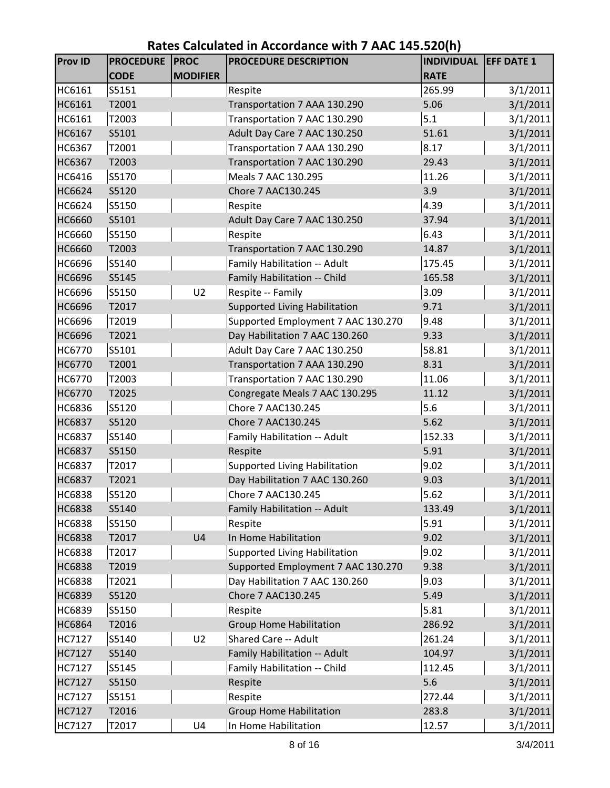| <b>Prov ID</b> | <b>PROCEDURE</b><br><b>CODE</b> | <b>PROC</b><br><b>MODIFIER</b> | <b>PROCEDURE DESCRIPTION</b>         | <b>INDIVIDUAL</b><br><b>RATE</b> | <b>EFF DATE 1</b> |
|----------------|---------------------------------|--------------------------------|--------------------------------------|----------------------------------|-------------------|
| HC6161         | S5151                           |                                | Respite                              | 265.99                           | 3/1/2011          |
| HC6161         | T2001                           |                                | Transportation 7 AAA 130.290         | 5.06                             | 3/1/2011          |
| HC6161         | T2003                           |                                | Transportation 7 AAC 130.290         | 5.1                              | 3/1/2011          |
| HC6167         | S5101                           |                                | Adult Day Care 7 AAC 130.250         | 51.61                            | 3/1/2011          |
| HC6367         | T2001                           |                                | Transportation 7 AAA 130.290         | 8.17                             | 3/1/2011          |
| HC6367         | T2003                           |                                | Transportation 7 AAC 130.290         | 29.43                            | 3/1/2011          |
| HC6416         | S5170                           |                                | Meals 7 AAC 130.295                  | 11.26                            | 3/1/2011          |
| HC6624         | S5120                           |                                | Chore 7 AAC130.245                   | 3.9                              | 3/1/2011          |
| HC6624         | S5150                           |                                | Respite                              | 4.39                             | 3/1/2011          |
| HC6660         | S5101                           |                                | Adult Day Care 7 AAC 130.250         | 37.94                            | 3/1/2011          |
| HC6660         | S5150                           |                                | Respite                              | 6.43                             | 3/1/2011          |
| <b>HC6660</b>  | T2003                           |                                | Transportation 7 AAC 130.290         | 14.87                            | 3/1/2011          |
| HC6696         | S5140                           |                                | Family Habilitation -- Adult         | 175.45                           | 3/1/2011          |
| <b>HC6696</b>  | S5145                           |                                | Family Habilitation -- Child         | 165.58                           | 3/1/2011          |
| HC6696         | S5150                           | U <sub>2</sub>                 | Respite -- Family                    | 3.09                             | 3/1/2011          |
| <b>HC6696</b>  | T2017                           |                                | <b>Supported Living Habilitation</b> | 9.71                             | 3/1/2011          |
| HC6696         | T2019                           |                                | Supported Employment 7 AAC 130.270   | 9.48                             | 3/1/2011          |
| HC6696         | T2021                           |                                | Day Habilitation 7 AAC 130.260       | 9.33                             | 3/1/2011          |
| HC6770         | S5101                           |                                | Adult Day Care 7 AAC 130.250         | 58.81                            | 3/1/2011          |
| HC6770         | T2001                           |                                | Transportation 7 AAA 130.290         | 8.31                             | 3/1/2011          |
| HC6770         | T2003                           |                                | Transportation 7 AAC 130.290         | 11.06                            | 3/1/2011          |
| HC6770         | T2025                           |                                | Congregate Meals 7 AAC 130.295       | 11.12                            | 3/1/2011          |
| HC6836         | S5120                           |                                | Chore 7 AAC130.245                   | 5.6                              | 3/1/2011          |
| HC6837         | S5120                           |                                | Chore 7 AAC130.245                   | 5.62                             | 3/1/2011          |
| HC6837         | S5140                           |                                | Family Habilitation -- Adult         | 152.33                           | 3/1/2011          |
| <b>HC6837</b>  | S5150                           |                                | Respite                              | 5.91                             | 3/1/2011          |
| HC6837         | T2017                           |                                | <b>Supported Living Habilitation</b> | 9.02                             | 3/1/2011          |
| HC6837         | T2021                           |                                | Day Habilitation 7 AAC 130.260       | 9.03                             | 3/1/2011          |
| HC6838         | S5120                           |                                | Chore 7 AAC130.245                   | 5.62                             | 3/1/2011          |
| HC6838         | S5140                           |                                | Family Habilitation -- Adult         | 133.49                           | 3/1/2011          |
| HC6838         | S5150                           |                                | Respite                              | 5.91                             | 3/1/2011          |
| <b>HC6838</b>  | T2017                           | U <sub>4</sub>                 | In Home Habilitation                 | 9.02                             | 3/1/2011          |
| HC6838         | T2017                           |                                | <b>Supported Living Habilitation</b> | 9.02                             | 3/1/2011          |
| HC6838         | T2019                           |                                | Supported Employment 7 AAC 130.270   | 9.38                             | 3/1/2011          |
| <b>HC6838</b>  | T2021                           |                                | Day Habilitation 7 AAC 130.260       | 9.03                             | 3/1/2011          |
| HC6839         | S5120                           |                                | Chore 7 AAC130.245                   | 5.49                             | 3/1/2011          |
| HC6839         | S5150                           |                                | Respite                              | 5.81                             | 3/1/2011          |
| <b>HC6864</b>  | T2016                           |                                | <b>Group Home Habilitation</b>       | 286.92                           | 3/1/2011          |
| HC7127         | S5140                           | U <sub>2</sub>                 | Shared Care -- Adult                 | 261.24                           | 3/1/2011          |
| HC7127         | S5140                           |                                | Family Habilitation -- Adult         | 104.97                           | 3/1/2011          |
| HC7127         | S5145                           |                                | Family Habilitation -- Child         | 112.45                           | 3/1/2011          |
| HC7127         | S5150                           |                                | Respite                              | 5.6                              | 3/1/2011          |
| HC7127         | S5151                           |                                | Respite                              | 272.44                           | 3/1/2011          |
| HC7127         | T2016                           |                                | <b>Group Home Habilitation</b>       | 283.8                            | 3/1/2011          |
| HC7127         | T2017                           | U4                             | In Home Habilitation                 | 12.57                            | 3/1/2011          |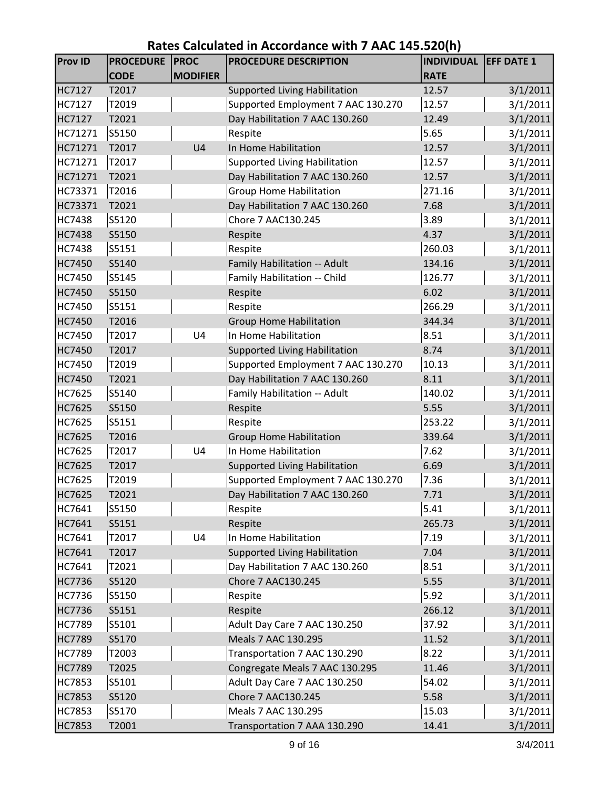| <b>Prov ID</b> | <b>PROCEDURE</b> | <b>PROC</b>     | PROCEDURE DESCRIPTION                | <b>INDIVIDUAL</b> | <b>EFF DATE 1</b> |
|----------------|------------------|-----------------|--------------------------------------|-------------------|-------------------|
|                | <b>CODE</b>      | <b>MODIFIER</b> |                                      | <b>RATE</b>       |                   |
| HC7127         | T2017            |                 | <b>Supported Living Habilitation</b> | 12.57             | 3/1/2011          |
| HC7127         | T2019            |                 | Supported Employment 7 AAC 130.270   | 12.57             | 3/1/2011          |
| HC7127         | T2021            |                 | Day Habilitation 7 AAC 130.260       | 12.49             | 3/1/2011          |
| HC71271        | S5150            |                 | Respite                              | 5.65              | 3/1/2011          |
| HC71271        | T2017            | U <sub>4</sub>  | In Home Habilitation                 | 12.57             | 3/1/2011          |
| HC71271        | T2017            |                 | <b>Supported Living Habilitation</b> | 12.57             | 3/1/2011          |
| HC71271        | T2021            |                 | Day Habilitation 7 AAC 130.260       | 12.57             | 3/1/2011          |
| HC73371        | T2016            |                 | <b>Group Home Habilitation</b>       | 271.16            | 3/1/2011          |
| HC73371        | T2021            |                 | Day Habilitation 7 AAC 130.260       | 7.68              | 3/1/2011          |
| <b>HC7438</b>  | S5120            |                 | Chore 7 AAC130.245                   | 3.89              | 3/1/2011          |
| <b>HC7438</b>  | S5150            |                 | Respite                              | 4.37              | 3/1/2011          |
| <b>HC7438</b>  | S5151            |                 | Respite                              | 260.03            | 3/1/2011          |
| <b>HC7450</b>  | S5140            |                 | Family Habilitation -- Adult         | 134.16            | 3/1/2011          |
| <b>HC7450</b>  | S5145            |                 | Family Habilitation -- Child         | 126.77            | 3/1/2011          |
| <b>HC7450</b>  | S5150            |                 | Respite                              | 6.02              | 3/1/2011          |
| <b>HC7450</b>  | S5151            |                 | Respite                              | 266.29            | 3/1/2011          |
| <b>HC7450</b>  | T2016            |                 | <b>Group Home Habilitation</b>       | 344.34            | 3/1/2011          |
| <b>HC7450</b>  | T2017            | U4              | In Home Habilitation                 | 8.51              | 3/1/2011          |
| <b>HC7450</b>  | T2017            |                 | <b>Supported Living Habilitation</b> | 8.74              | 3/1/2011          |
| HC7450         | T2019            |                 | Supported Employment 7 AAC 130.270   | 10.13             | 3/1/2011          |
| HC7450         | T2021            |                 | Day Habilitation 7 AAC 130.260       | 8.11              | 3/1/2011          |
| HC7625         | S5140            |                 | Family Habilitation -- Adult         | 140.02            | 3/1/2011          |
| HC7625         | S5150            |                 | Respite                              | 5.55              | 3/1/2011          |
| HC7625         | S5151            |                 | Respite                              | 253.22            | 3/1/2011          |
| HC7625         | T2016            |                 | <b>Group Home Habilitation</b>       | 339.64            | 3/1/2011          |
| HC7625         | T2017            | U <sub>4</sub>  | In Home Habilitation                 | 7.62              | 3/1/2011          |
| HC7625         | T2017            |                 | <b>Supported Living Habilitation</b> | 6.69              | 3/1/2011          |
| HC7625         | T2019            |                 | Supported Employment 7 AAC 130.270   | 7.36              | 3/1/2011          |
| HC7625         | T2021            |                 | Day Habilitation 7 AAC 130.260       | 7.71              | 3/1/2011          |
| HC7641         | S5150            |                 | Respite                              | 5.41              | 3/1/2011          |
| HC7641         | S5151            |                 | Respite                              | 265.73            | 3/1/2011          |
| HC7641         | T2017            | U <sub>4</sub>  | In Home Habilitation                 | 7.19              | 3/1/2011          |
| HC7641         | T2017            |                 | <b>Supported Living Habilitation</b> | 7.04              | 3/1/2011          |
| HC7641         | T2021            |                 | Day Habilitation 7 AAC 130.260       | 8.51              | 3/1/2011          |
| HC7736         | S5120            |                 | Chore 7 AAC130.245                   | 5.55              | 3/1/2011          |
| HC7736         | S5150            |                 | Respite                              | 5.92              | 3/1/2011          |
| HC7736         | S5151            |                 | Respite                              | 266.12            | 3/1/2011          |
| HC7789         | S5101            |                 | Adult Day Care 7 AAC 130.250         | 37.92             | 3/1/2011          |
| <b>HC7789</b>  | S5170            |                 | Meals 7 AAC 130.295                  | 11.52             | 3/1/2011          |
| HC7789         | T2003            |                 | Transportation 7 AAC 130.290         | 8.22              | 3/1/2011          |
| <b>HC7789</b>  | T2025            |                 | Congregate Meals 7 AAC 130.295       | 11.46             | 3/1/2011          |
| <b>HC7853</b>  | S5101            |                 | Adult Day Care 7 AAC 130.250         | 54.02             | 3/1/2011          |
| HC7853         | S5120            |                 | Chore 7 AAC130.245                   | 5.58              | 3/1/2011          |
| HC7853         | S5170            |                 | Meals 7 AAC 130.295                  | 15.03             | 3/1/2011          |
| <b>HC7853</b>  | T2001            |                 | Transportation 7 AAA 130.290         | 14.41             | 3/1/2011          |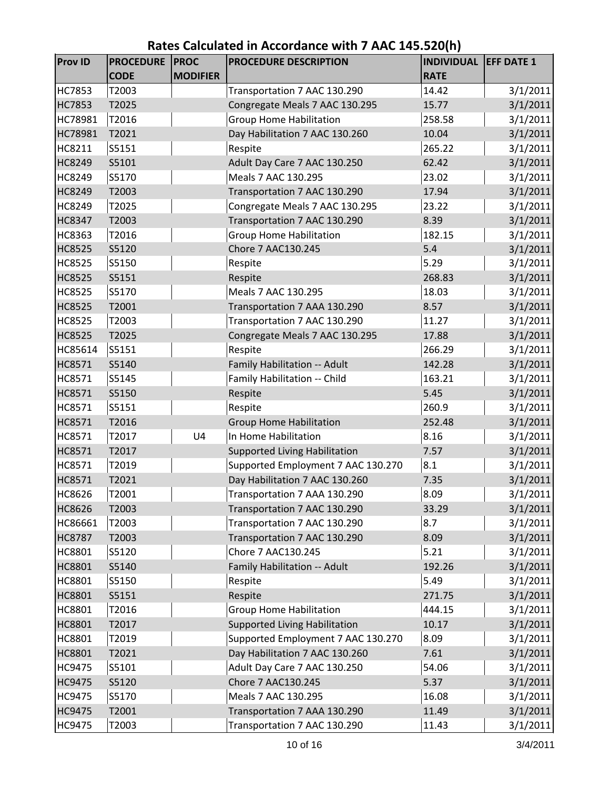| <b>Prov ID</b> | <b>PROCEDURE</b> | <b>PROC</b>     | <b>PROCEDURE DESCRIPTION</b>         | <b>INDIVIDUAL</b> | <b>EFF DATE 1</b> |
|----------------|------------------|-----------------|--------------------------------------|-------------------|-------------------|
|                | <b>CODE</b>      | <b>MODIFIER</b> |                                      | <b>RATE</b>       |                   |
| HC7853         | T2003            |                 | Transportation 7 AAC 130.290         | 14.42             | 3/1/2011          |
| HC7853         | T2025            |                 | Congregate Meals 7 AAC 130.295       | 15.77             | 3/1/2011          |
| HC78981        | T2016            |                 | <b>Group Home Habilitation</b>       | 258.58            | 3/1/2011          |
| HC78981        | T2021            |                 | Day Habilitation 7 AAC 130.260       | 10.04             | 3/1/2011          |
| HC8211         | S5151            |                 | Respite                              | 265.22            | 3/1/2011          |
| <b>HC8249</b>  | S5101            |                 | Adult Day Care 7 AAC 130.250         | 62.42             | 3/1/2011          |
| HC8249         | S5170            |                 | Meals 7 AAC 130.295                  | 23.02             | 3/1/2011          |
| HC8249         | T2003            |                 | Transportation 7 AAC 130.290         | 17.94             | 3/1/2011          |
| HC8249         | T2025            |                 | Congregate Meals 7 AAC 130.295       | 23.22             | 3/1/2011          |
| <b>HC8347</b>  | T2003            |                 | Transportation 7 AAC 130.290         | 8.39              | 3/1/2011          |
| HC8363         | T2016            |                 | <b>Group Home Habilitation</b>       | 182.15            | 3/1/2011          |
| HC8525         | S5120            |                 | Chore 7 AAC130.245                   | 5.4               | 3/1/2011          |
| HC8525         | S5150            |                 | Respite                              | 5.29              | 3/1/2011          |
| <b>HC8525</b>  | S5151            |                 | Respite                              | 268.83            | 3/1/2011          |
| HC8525         | S5170            |                 | Meals 7 AAC 130.295                  | 18.03             | 3/1/2011          |
| <b>HC8525</b>  | T2001            |                 | Transportation 7 AAA 130.290         | 8.57              | 3/1/2011          |
| HC8525         | T2003            |                 | Transportation 7 AAC 130.290         | 11.27             | 3/1/2011          |
| HC8525         | T2025            |                 | Congregate Meals 7 AAC 130.295       | 17.88             | 3/1/2011          |
| HC85614        | S5151            |                 | Respite                              | 266.29            | 3/1/2011          |
| HC8571         | S5140            |                 | Family Habilitation -- Adult         | 142.28            | 3/1/2011          |
| HC8571         | S5145            |                 | Family Habilitation -- Child         | 163.21            | 3/1/2011          |
| HC8571         | S5150            |                 | Respite                              | 5.45              | 3/1/2011          |
| HC8571         | S5151            |                 | Respite                              | 260.9             | 3/1/2011          |
| HC8571         | T2016            |                 | <b>Group Home Habilitation</b>       | 252.48            | 3/1/2011          |
| HC8571         | T2017            | U <sub>4</sub>  | In Home Habilitation                 | 8.16              | 3/1/2011          |
| HC8571         | T2017            |                 | <b>Supported Living Habilitation</b> | 7.57              | 3/1/2011          |
| HC8571         | T2019            |                 | Supported Employment 7 AAC 130.270   | 8.1               | 3/1/2011          |
| HC8571         | T2021            |                 | Day Habilitation 7 AAC 130.260       | 7.35              | 3/1/2011          |
| HC8626         | T2001            |                 | Transportation 7 AAA 130.290         | 8.09              | 3/1/2011          |
| <b>HC8626</b>  | T2003            |                 | Transportation 7 AAC 130.290         | 33.29             | 3/1/2011          |
| HC86661        | T2003            |                 | Transportation 7 AAC 130.290         | 8.7               | 3/1/2011          |
| <b>HC8787</b>  | T2003            |                 | Transportation 7 AAC 130.290         | 8.09              | 3/1/2011          |
| HC8801         | S5120            |                 | Chore 7 AAC130.245                   | 5.21              | 3/1/2011          |
| HC8801         | S5140            |                 | Family Habilitation -- Adult         | 192.26            | 3/1/2011          |
| HC8801         | S5150            |                 | Respite                              | 5.49              | 3/1/2011          |
| HC8801         | S5151            |                 | Respite                              | 271.75            | 3/1/2011          |
| HC8801         | T2016            |                 | <b>Group Home Habilitation</b>       | 444.15            | 3/1/2011          |
| HC8801         | T2017            |                 | <b>Supported Living Habilitation</b> | 10.17             | 3/1/2011          |
| HC8801         | T2019            |                 | Supported Employment 7 AAC 130.270   | 8.09              | 3/1/2011          |
| HC8801         | T2021            |                 | Day Habilitation 7 AAC 130.260       | 7.61              | 3/1/2011          |
| HC9475         | S5101            |                 | Adult Day Care 7 AAC 130.250         | 54.06             | 3/1/2011          |
| <b>HC9475</b>  | S5120            |                 | Chore 7 AAC130.245                   | 5.37              | 3/1/2011          |
| HC9475         | S5170            |                 | Meals 7 AAC 130.295                  | 16.08             | 3/1/2011          |
| HC9475         | T2001            |                 | Transportation 7 AAA 130.290         | 11.49             | 3/1/2011          |
| HC9475         | T2003            |                 | Transportation 7 AAC 130.290         | 11.43             | 3/1/2011          |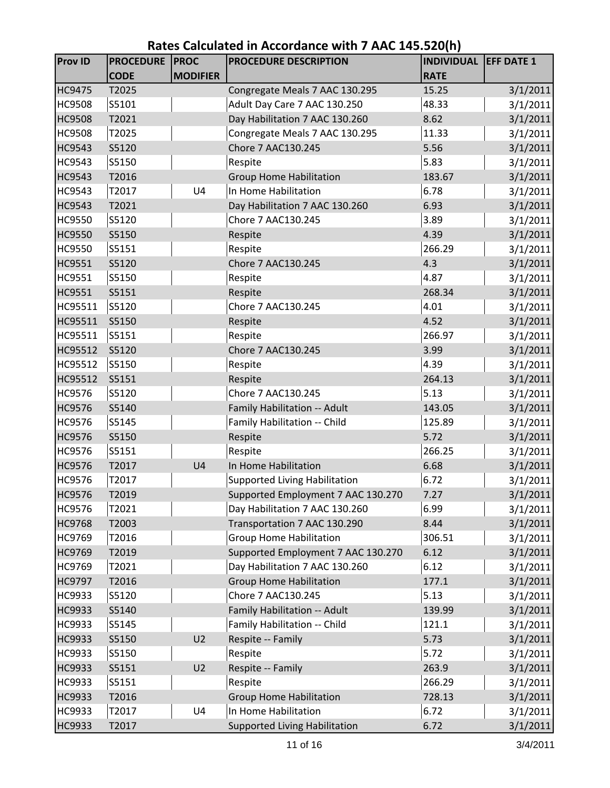| <b>Prov ID</b> | <b>PROCEDURE</b> | <b>PROC</b>     | PROCEDURE DESCRIPTION                | <b>INDIVIDUAL EFF DATE 1</b> |          |
|----------------|------------------|-----------------|--------------------------------------|------------------------------|----------|
|                | <b>CODE</b>      | <b>MODIFIER</b> |                                      | <b>RATE</b>                  |          |
| <b>HC9475</b>  | T2025            |                 | Congregate Meals 7 AAC 130.295       | 15.25                        | 3/1/2011 |
| <b>HC9508</b>  | S5101            |                 | Adult Day Care 7 AAC 130.250         | 48.33                        | 3/1/2011 |
| <b>HC9508</b>  | T2021            |                 | Day Habilitation 7 AAC 130.260       | 8.62                         | 3/1/2011 |
| <b>HC9508</b>  | T2025            |                 | Congregate Meals 7 AAC 130.295       | 11.33                        | 3/1/2011 |
| HC9543         | S5120            |                 | Chore 7 AAC130.245                   | 5.56                         | 3/1/2011 |
| HC9543         | S5150            |                 | Respite                              | 5.83                         | 3/1/2011 |
| HC9543         | T2016            |                 | <b>Group Home Habilitation</b>       | 183.67                       | 3/1/2011 |
| HC9543         | T2017            | U <sub>4</sub>  | In Home Habilitation                 | 6.78                         | 3/1/2011 |
| HC9543         | T2021            |                 | Day Habilitation 7 AAC 130.260       | 6.93                         | 3/1/2011 |
| <b>HC9550</b>  | S5120            |                 | Chore 7 AAC130.245                   | 3.89                         | 3/1/2011 |
| HC9550         | S5150            |                 | Respite                              | 4.39                         | 3/1/2011 |
| <b>HC9550</b>  | S5151            |                 | Respite                              | 266.29                       | 3/1/2011 |
| HC9551         | S5120            |                 | Chore 7 AAC130.245                   | 4.3                          | 3/1/2011 |
| HC9551         | S5150            |                 | Respite                              | 4.87                         | 3/1/2011 |
| HC9551         | S5151            |                 | Respite                              | 268.34                       | 3/1/2011 |
| HC95511        | S5120            |                 | Chore 7 AAC130.245                   | 4.01                         | 3/1/2011 |
| HC95511        | S5150            |                 | Respite                              | 4.52                         | 3/1/2011 |
| HC95511        | S5151            |                 | Respite                              | 266.97                       | 3/1/2011 |
| HC95512        | S5120            |                 | Chore 7 AAC130.245                   | 3.99                         | 3/1/2011 |
| HC95512        | S5150            |                 | Respite                              | 4.39                         | 3/1/2011 |
| HC95512        | S5151            |                 | Respite                              | 264.13                       | 3/1/2011 |
| HC9576         | S5120            |                 | Chore 7 AAC130.245                   | 5.13                         | 3/1/2011 |
| HC9576         | S5140            |                 | Family Habilitation -- Adult         | 143.05                       | 3/1/2011 |
| HC9576         | S5145            |                 | Family Habilitation -- Child         | 125.89                       | 3/1/2011 |
| HC9576         | S5150            |                 | Respite                              | 5.72                         | 3/1/2011 |
| HC9576         | S5151            |                 | Respite                              | 266.25                       | 3/1/2011 |
| HC9576         | T2017            | U <sub>4</sub>  | In Home Habilitation                 | 6.68                         | 3/1/2011 |
| HC9576         | T2017            |                 | <b>Supported Living Habilitation</b> | 6.72                         | 3/1/2011 |
| HC9576         | T2019            |                 | Supported Employment 7 AAC 130.270   | 7.27                         | 3/1/2011 |
| HC9576         | T2021            |                 | Day Habilitation 7 AAC 130.260       | 6.99                         | 3/1/2011 |
| HC9768         | T2003            |                 | Transportation 7 AAC 130.290         | 8.44                         | 3/1/2011 |
| HC9769         | T2016            |                 | <b>Group Home Habilitation</b>       | 306.51                       | 3/1/2011 |
| HC9769         | T2019            |                 | Supported Employment 7 AAC 130.270   | 6.12                         | 3/1/2011 |
| HC9769         | T2021            |                 | Day Habilitation 7 AAC 130.260       | 6.12                         | 3/1/2011 |
| HC9797         | T2016            |                 | <b>Group Home Habilitation</b>       | 177.1                        | 3/1/2011 |
| HC9933         | S5120            |                 | Chore 7 AAC130.245                   | 5.13                         | 3/1/2011 |
| HC9933         | S5140            |                 | Family Habilitation -- Adult         | 139.99                       | 3/1/2011 |
| HC9933         | S5145            |                 | Family Habilitation -- Child         | 121.1                        | 3/1/2011 |
| HC9933         | S5150            | U <sub>2</sub>  | Respite -- Family                    | 5.73                         | 3/1/2011 |
| HC9933         | S5150            |                 | Respite                              | 5.72                         | 3/1/2011 |
| HC9933         | S5151            | U <sub>2</sub>  | Respite -- Family                    | 263.9                        | 3/1/2011 |
| HC9933         | S5151            |                 | Respite                              | 266.29                       | 3/1/2011 |
| HC9933         | T2016            |                 | <b>Group Home Habilitation</b>       | 728.13                       | 3/1/2011 |
| HC9933         | T2017            | U4              | In Home Habilitation                 | 6.72                         | 3/1/2011 |
| HC9933         | T2017            |                 | <b>Supported Living Habilitation</b> | 6.72                         | 3/1/2011 |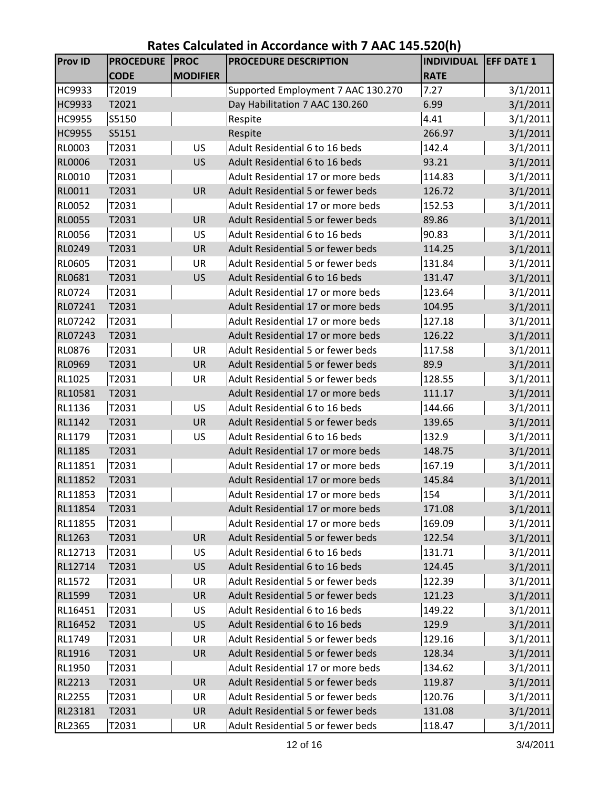| <b>CODE</b><br><b>MODIFIER</b><br><b>RATE</b><br>T2019<br>Supported Employment 7 AAC 130.270<br>HC9933<br>7.27<br>3/1/2011<br>3/1/2011<br>HC9933<br>T2021<br>Day Habilitation 7 AAC 130.260<br>6.99<br>S5150<br>Respite<br>4.41<br>3/1/2011<br><b>HC9955</b><br>HC9955<br>S5151<br>Respite<br>3/1/2011<br>266.97<br>T2031<br>Adult Residential 6 to 16 beds<br>142.4<br>3/1/2011<br>RL0003<br>US<br>Adult Residential 6 to 16 beds<br>3/1/2011<br><b>RL0006</b><br>T2031<br><b>US</b><br>93.21<br>RL0010<br>T2031<br>Adult Residential 17 or more beds<br>114.83<br>3/1/2011<br>RL0011<br>T2031<br><b>UR</b><br>Adult Residential 5 or fewer beds<br>3/1/2011<br>126.72<br><b>RL0052</b><br>Adult Residential 17 or more beds<br>152.53<br>3/1/2011<br>T2031<br>3/1/2011<br><b>RL0055</b><br>T2031<br>Adult Residential 5 or fewer beds<br>89.86<br><b>UR</b><br>T2031<br>90.83<br><b>RL0056</b><br><b>US</b><br>Adult Residential 6 to 16 beds<br>3/1/2011<br>3/1/2011<br>RL0249<br>T2031<br><b>UR</b><br>Adult Residential 5 or fewer beds<br>114.25 |  |
|--------------------------------------------------------------------------------------------------------------------------------------------------------------------------------------------------------------------------------------------------------------------------------------------------------------------------------------------------------------------------------------------------------------------------------------------------------------------------------------------------------------------------------------------------------------------------------------------------------------------------------------------------------------------------------------------------------------------------------------------------------------------------------------------------------------------------------------------------------------------------------------------------------------------------------------------------------------------------------------------------------------------------------------------------------|--|
|                                                                                                                                                                                                                                                                                                                                                                                                                                                                                                                                                                                                                                                                                                                                                                                                                                                                                                                                                                                                                                                        |  |
|                                                                                                                                                                                                                                                                                                                                                                                                                                                                                                                                                                                                                                                                                                                                                                                                                                                                                                                                                                                                                                                        |  |
|                                                                                                                                                                                                                                                                                                                                                                                                                                                                                                                                                                                                                                                                                                                                                                                                                                                                                                                                                                                                                                                        |  |
|                                                                                                                                                                                                                                                                                                                                                                                                                                                                                                                                                                                                                                                                                                                                                                                                                                                                                                                                                                                                                                                        |  |
|                                                                                                                                                                                                                                                                                                                                                                                                                                                                                                                                                                                                                                                                                                                                                                                                                                                                                                                                                                                                                                                        |  |
|                                                                                                                                                                                                                                                                                                                                                                                                                                                                                                                                                                                                                                                                                                                                                                                                                                                                                                                                                                                                                                                        |  |
|                                                                                                                                                                                                                                                                                                                                                                                                                                                                                                                                                                                                                                                                                                                                                                                                                                                                                                                                                                                                                                                        |  |
|                                                                                                                                                                                                                                                                                                                                                                                                                                                                                                                                                                                                                                                                                                                                                                                                                                                                                                                                                                                                                                                        |  |
|                                                                                                                                                                                                                                                                                                                                                                                                                                                                                                                                                                                                                                                                                                                                                                                                                                                                                                                                                                                                                                                        |  |
|                                                                                                                                                                                                                                                                                                                                                                                                                                                                                                                                                                                                                                                                                                                                                                                                                                                                                                                                                                                                                                                        |  |
|                                                                                                                                                                                                                                                                                                                                                                                                                                                                                                                                                                                                                                                                                                                                                                                                                                                                                                                                                                                                                                                        |  |
|                                                                                                                                                                                                                                                                                                                                                                                                                                                                                                                                                                                                                                                                                                                                                                                                                                                                                                                                                                                                                                                        |  |
|                                                                                                                                                                                                                                                                                                                                                                                                                                                                                                                                                                                                                                                                                                                                                                                                                                                                                                                                                                                                                                                        |  |
| RL0605<br>T2031<br>131.84<br>UR<br>Adult Residential 5 or fewer beds<br>3/1/2011                                                                                                                                                                                                                                                                                                                                                                                                                                                                                                                                                                                                                                                                                                                                                                                                                                                                                                                                                                       |  |
| 3/1/2011<br><b>RL0681</b><br>T2031<br><b>US</b><br>Adult Residential 6 to 16 beds<br>131.47                                                                                                                                                                                                                                                                                                                                                                                                                                                                                                                                                                                                                                                                                                                                                                                                                                                                                                                                                            |  |
| RL0724<br>T2031<br>Adult Residential 17 or more beds<br>123.64<br>3/1/2011                                                                                                                                                                                                                                                                                                                                                                                                                                                                                                                                                                                                                                                                                                                                                                                                                                                                                                                                                                             |  |
| Adult Residential 17 or more beds<br>3/1/2011<br>RL07241<br>T2031<br>104.95                                                                                                                                                                                                                                                                                                                                                                                                                                                                                                                                                                                                                                                                                                                                                                                                                                                                                                                                                                            |  |
| RL07242<br>T2031<br>Adult Residential 17 or more beds<br>127.18<br>3/1/2011                                                                                                                                                                                                                                                                                                                                                                                                                                                                                                                                                                                                                                                                                                                                                                                                                                                                                                                                                                            |  |
| RL07243<br>T2031<br>Adult Residential 17 or more beds<br>126.22<br>3/1/2011                                                                                                                                                                                                                                                                                                                                                                                                                                                                                                                                                                                                                                                                                                                                                                                                                                                                                                                                                                            |  |
| <b>RL0876</b><br>T2031<br>Adult Residential 5 or fewer beds<br>3/1/2011<br>UR<br>117.58                                                                                                                                                                                                                                                                                                                                                                                                                                                                                                                                                                                                                                                                                                                                                                                                                                                                                                                                                                |  |
| Adult Residential 5 or fewer beds<br>3/1/2011<br><b>RL0969</b><br><b>UR</b><br>89.9<br>T2031                                                                                                                                                                                                                                                                                                                                                                                                                                                                                                                                                                                                                                                                                                                                                                                                                                                                                                                                                           |  |
| T2031<br>Adult Residential 5 or fewer beds<br>3/1/2011<br>RL1025<br>UR<br>128.55                                                                                                                                                                                                                                                                                                                                                                                                                                                                                                                                                                                                                                                                                                                                                                                                                                                                                                                                                                       |  |
| T2031<br>Adult Residential 17 or more beds<br>111.17<br>3/1/2011<br>RL10581                                                                                                                                                                                                                                                                                                                                                                                                                                                                                                                                                                                                                                                                                                                                                                                                                                                                                                                                                                            |  |
| 3/1/2011<br>RL1136<br>T2031<br><b>US</b><br>Adult Residential 6 to 16 beds<br>144.66                                                                                                                                                                                                                                                                                                                                                                                                                                                                                                                                                                                                                                                                                                                                                                                                                                                                                                                                                                   |  |
| RL1142<br>Adult Residential 5 or fewer beds<br>3/1/2011<br>T2031<br><b>UR</b><br>139.65                                                                                                                                                                                                                                                                                                                                                                                                                                                                                                                                                                                                                                                                                                                                                                                                                                                                                                                                                                |  |
| RL1179<br>T2031<br>US<br>Adult Residential 6 to 16 beds<br>132.9<br>3/1/2011                                                                                                                                                                                                                                                                                                                                                                                                                                                                                                                                                                                                                                                                                                                                                                                                                                                                                                                                                                           |  |
| T2031<br>Adult Residential 17 or more beds<br><b>RL1185</b><br>148.75<br>3/1/2011                                                                                                                                                                                                                                                                                                                                                                                                                                                                                                                                                                                                                                                                                                                                                                                                                                                                                                                                                                      |  |
| T2031<br>Adult Residential 17 or more beds<br>167.19<br>3/1/2011<br>RL11851                                                                                                                                                                                                                                                                                                                                                                                                                                                                                                                                                                                                                                                                                                                                                                                                                                                                                                                                                                            |  |
| RL11852<br>T2031<br>Adult Residential 17 or more beds<br>3/1/2011<br>145.84                                                                                                                                                                                                                                                                                                                                                                                                                                                                                                                                                                                                                                                                                                                                                                                                                                                                                                                                                                            |  |
| T2031<br>154<br>RL11853<br>3/1/2011<br>Adult Residential 17 or more beds                                                                                                                                                                                                                                                                                                                                                                                                                                                                                                                                                                                                                                                                                                                                                                                                                                                                                                                                                                               |  |
| T2031<br>Adult Residential 17 or more beds<br>3/1/2011<br>RL11854<br>171.08                                                                                                                                                                                                                                                                                                                                                                                                                                                                                                                                                                                                                                                                                                                                                                                                                                                                                                                                                                            |  |
| Adult Residential 17 or more beds<br>RL11855<br>T2031<br>169.09<br>3/1/2011                                                                                                                                                                                                                                                                                                                                                                                                                                                                                                                                                                                                                                                                                                                                                                                                                                                                                                                                                                            |  |
| Adult Residential 5 or fewer beds<br>RL1263<br>T2031<br>UR<br>122.54<br>3/1/2011                                                                                                                                                                                                                                                                                                                                                                                                                                                                                                                                                                                                                                                                                                                                                                                                                                                                                                                                                                       |  |
| Adult Residential 6 to 16 beds<br>T2031<br>US<br>RL12713<br>131.71<br>3/1/2011                                                                                                                                                                                                                                                                                                                                                                                                                                                                                                                                                                                                                                                                                                                                                                                                                                                                                                                                                                         |  |
| Adult Residential 6 to 16 beds<br>3/1/2011<br><b>US</b><br>RL12714<br>T2031<br>124.45                                                                                                                                                                                                                                                                                                                                                                                                                                                                                                                                                                                                                                                                                                                                                                                                                                                                                                                                                                  |  |
| Adult Residential 5 or fewer beds<br>T2031<br>3/1/2011<br><b>RL1572</b><br>UR<br>122.39<br>Adult Residential 5 or fewer beds<br>UR<br>3/1/2011                                                                                                                                                                                                                                                                                                                                                                                                                                                                                                                                                                                                                                                                                                                                                                                                                                                                                                         |  |
| RL1599<br>T2031<br>121.23<br>Adult Residential 6 to 16 beds<br>RL16451<br>US                                                                                                                                                                                                                                                                                                                                                                                                                                                                                                                                                                                                                                                                                                                                                                                                                                                                                                                                                                           |  |
| T2031<br>149.22<br>3/1/2011<br>Adult Residential 6 to 16 beds<br><b>US</b>                                                                                                                                                                                                                                                                                                                                                                                                                                                                                                                                                                                                                                                                                                                                                                                                                                                                                                                                                                             |  |
| RL16452<br>T2031<br>129.9<br>3/1/2011<br>Adult Residential 5 or fewer beds<br>UR                                                                                                                                                                                                                                                                                                                                                                                                                                                                                                                                                                                                                                                                                                                                                                                                                                                                                                                                                                       |  |
| RL1749<br>T2031<br>129.16<br>3/1/2011<br>Adult Residential 5 or fewer beds<br>RL1916<br>T2031<br>UR<br>128.34<br>3/1/2011                                                                                                                                                                                                                                                                                                                                                                                                                                                                                                                                                                                                                                                                                                                                                                                                                                                                                                                              |  |
| RL1950<br>Adult Residential 17 or more beds<br>3/1/2011<br>T2031<br>134.62                                                                                                                                                                                                                                                                                                                                                                                                                                                                                                                                                                                                                                                                                                                                                                                                                                                                                                                                                                             |  |
| Adult Residential 5 or fewer beds<br><b>UR</b><br>RL2213<br>T2031<br>3/1/2011<br>119.87                                                                                                                                                                                                                                                                                                                                                                                                                                                                                                                                                                                                                                                                                                                                                                                                                                                                                                                                                                |  |
| Adult Residential 5 or fewer beds<br>T2031<br>UR<br><b>RL2255</b><br>120.76<br>3/1/2011                                                                                                                                                                                                                                                                                                                                                                                                                                                                                                                                                                                                                                                                                                                                                                                                                                                                                                                                                                |  |
| Adult Residential 5 or fewer beds<br>RL23181<br>UR<br>3/1/2011<br>T2031<br>131.08                                                                                                                                                                                                                                                                                                                                                                                                                                                                                                                                                                                                                                                                                                                                                                                                                                                                                                                                                                      |  |
| RL2365<br>Adult Residential 5 or fewer beds<br>3/1/2011<br>T2031<br>UR<br>118.47                                                                                                                                                                                                                                                                                                                                                                                                                                                                                                                                                                                                                                                                                                                                                                                                                                                                                                                                                                       |  |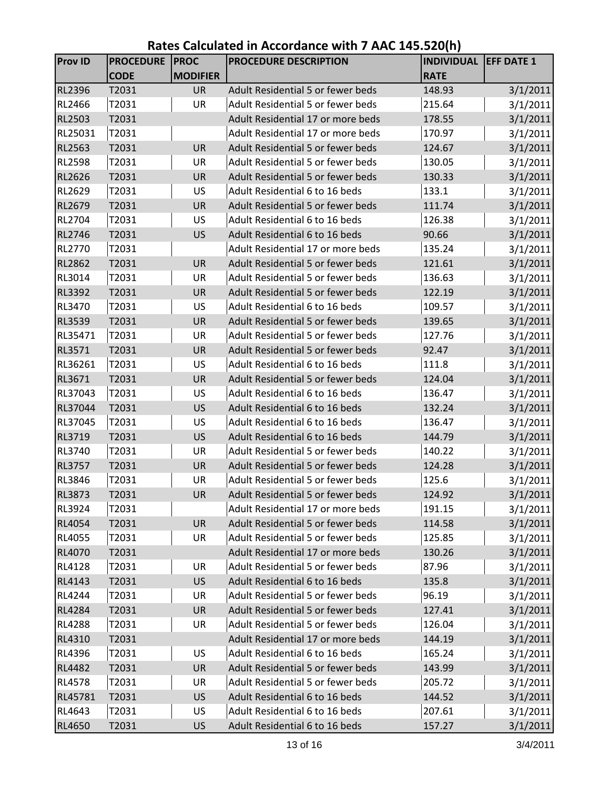| <b>Prov ID</b> | <b>PROCEDURE</b> | <b>PROC</b>     | PROCEDURE DESCRIPTION                    | <b>INDIVIDUAL EFF DATE 1</b> |          |
|----------------|------------------|-----------------|------------------------------------------|------------------------------|----------|
|                | <b>CODE</b>      | <b>MODIFIER</b> |                                          | <b>RATE</b>                  |          |
| <b>RL2396</b>  | T2031            | <b>UR</b>       | <b>Adult Residential 5 or fewer beds</b> | 148.93                       | 3/1/2011 |
| RL2466         | T2031            | <b>UR</b>       | Adult Residential 5 or fewer beds        | 215.64                       | 3/1/2011 |
| RL2503         | T2031            |                 | Adult Residential 17 or more beds        | 178.55                       | 3/1/2011 |
| RL25031        | T2031            |                 | Adult Residential 17 or more beds        | 170.97                       | 3/1/2011 |
| RL2563         | T2031            | <b>UR</b>       | Adult Residential 5 or fewer beds        | 124.67                       | 3/1/2011 |
| <b>RL2598</b>  | T2031            | UR              | Adult Residential 5 or fewer beds        | 130.05                       | 3/1/2011 |
| RL2626         | T2031            | <b>UR</b>       | Adult Residential 5 or fewer beds        | 130.33                       | 3/1/2011 |
| <b>RL2629</b>  | T2031            | US              | Adult Residential 6 to 16 beds           | 133.1                        | 3/1/2011 |
| RL2679         | T2031            | <b>UR</b>       | Adult Residential 5 or fewer beds        | 111.74                       | 3/1/2011 |
| RL2704         | T2031            | US              | Adult Residential 6 to 16 beds           | 126.38                       | 3/1/2011 |
| RL2746         | T2031            | <b>US</b>       | Adult Residential 6 to 16 beds           | 90.66                        | 3/1/2011 |
| <b>RL2770</b>  | T2031            |                 | Adult Residential 17 or more beds        | 135.24                       | 3/1/2011 |
| <b>RL2862</b>  | T2031            | <b>UR</b>       | Adult Residential 5 or fewer beds        | 121.61                       | 3/1/2011 |
| RL3014         | T2031            | UR              | Adult Residential 5 or fewer beds        | 136.63                       | 3/1/2011 |
| <b>RL3392</b>  | T2031            | <b>UR</b>       | Adult Residential 5 or fewer beds        | 122.19                       | 3/1/2011 |
| RL3470         | T2031            | US              | Adult Residential 6 to 16 beds           | 109.57                       | 3/1/2011 |
| RL3539         | T2031            | <b>UR</b>       | <b>Adult Residential 5 or fewer beds</b> | 139.65                       | 3/1/2011 |
| RL35471        | T2031            | UR              | Adult Residential 5 or fewer beds        | 127.76                       | 3/1/2011 |
| RL3571         | T2031            | <b>UR</b>       | Adult Residential 5 or fewer beds        | 92.47                        | 3/1/2011 |
| RL36261        | T2031            | US              | Adult Residential 6 to 16 beds           | 111.8                        | 3/1/2011 |
| RL3671         | T2031            | <b>UR</b>       | Adult Residential 5 or fewer beds        | 124.04                       | 3/1/2011 |
| RL37043        | T2031            | US              | Adult Residential 6 to 16 beds           | 136.47                       | 3/1/2011 |
| RL37044        | T2031            | <b>US</b>       | Adult Residential 6 to 16 beds           | 132.24                       | 3/1/2011 |
| RL37045        | T2031            | US              | Adult Residential 6 to 16 beds           | 136.47                       | 3/1/2011 |
| RL3719         | T2031            | <b>US</b>       | Adult Residential 6 to 16 beds           | 144.79                       | 3/1/2011 |
| <b>RL3740</b>  | T2031            | UR              | Adult Residential 5 or fewer beds        | 140.22                       | 3/1/2011 |
| <b>RL3757</b>  | T2031            | <b>UR</b>       | Adult Residential 5 or fewer beds        | 124.28                       | 3/1/2011 |
| RL3846         | T2031            | UR              | Adult Residential 5 or fewer beds        | 125.6                        | 3/1/2011 |
| <b>RL3873</b>  | T2031            | <b>UR</b>       | Adult Residential 5 or fewer beds        | 124.92                       | 3/1/2011 |
| RL3924         | T2031            |                 | Adult Residential 17 or more beds        | 191.15                       | 3/1/2011 |
| RL4054         | T2031            | <b>UR</b>       | Adult Residential 5 or fewer beds        | 114.58                       | 3/1/2011 |
| RL4055         | T2031            | UR              | Adult Residential 5 or fewer beds        | 125.85                       | 3/1/2011 |
| RL4070         | T2031            |                 | Adult Residential 17 or more beds        | 130.26                       | 3/1/2011 |
| RL4128         | T2031            | UR              | Adult Residential 5 or fewer beds        | 87.96                        | 3/1/2011 |
| RL4143         | T2031            | <b>US</b>       | Adult Residential 6 to 16 beds           | 135.8                        | 3/1/2011 |
| RL4244         | T2031            | UR              | Adult Residential 5 or fewer beds        | 96.19                        | 3/1/2011 |
| <b>RL4284</b>  | T2031            | UR              | Adult Residential 5 or fewer beds        | 127.41                       | 3/1/2011 |
| <b>RL4288</b>  | T2031            | UR              | Adult Residential 5 or fewer beds        | 126.04                       | 3/1/2011 |
| RL4310         | T2031            |                 | Adult Residential 17 or more beds        | 144.19                       | 3/1/2011 |
| RL4396         | T2031            | US              | Adult Residential 6 to 16 beds           | 165.24                       | 3/1/2011 |
| <b>RL4482</b>  | T2031            | UR              | Adult Residential 5 or fewer beds        | 143.99                       | 3/1/2011 |
| <b>RL4578</b>  | T2031            | UR              | Adult Residential 5 or fewer beds        | 205.72                       | 3/1/2011 |
| RL45781        | T2031            | <b>US</b>       | Adult Residential 6 to 16 beds           | 144.52                       | 3/1/2011 |
| RL4643         | T2031            | US              | Adult Residential 6 to 16 beds           | 207.61                       | 3/1/2011 |
| RL4650         | T2031            | <b>US</b>       | Adult Residential 6 to 16 beds           | 157.27                       | 3/1/2011 |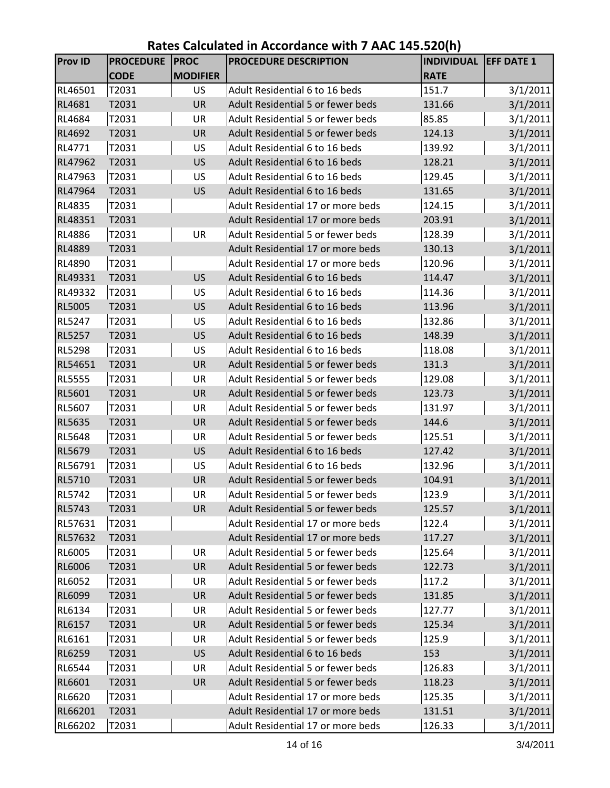| <b>Prov ID</b> | <b>PROCEDURE</b> | <b>PROC</b>     | PROCEDURE DESCRIPTION             | <b>INDIVIDUAL EFF DATE 1</b> |          |
|----------------|------------------|-----------------|-----------------------------------|------------------------------|----------|
|                | <b>CODE</b>      | <b>MODIFIER</b> |                                   | <b>RATE</b>                  |          |
| RL46501        | T2031            | <b>US</b>       | Adult Residential 6 to 16 beds    | 151.7                        | 3/1/2011 |
| RL4681         | T2031            | <b>UR</b>       | Adult Residential 5 or fewer beds | 131.66                       | 3/1/2011 |
| RL4684         | T2031            | UR              | Adult Residential 5 or fewer beds | 85.85                        | 3/1/2011 |
| RL4692         | T2031            | <b>UR</b>       | Adult Residential 5 or fewer beds | 124.13                       | 3/1/2011 |
| RL4771         | T2031            | US              | Adult Residential 6 to 16 beds    | 139.92                       | 3/1/2011 |
| RL47962        | T2031            | <b>US</b>       | Adult Residential 6 to 16 beds    | 128.21                       | 3/1/2011 |
| RL47963        | T2031            | <b>US</b>       | Adult Residential 6 to 16 beds    | 129.45                       | 3/1/2011 |
| RL47964        | T2031            | <b>US</b>       | Adult Residential 6 to 16 beds    | 131.65                       | 3/1/2011 |
| RL4835         | T2031            |                 | Adult Residential 17 or more beds | 124.15                       | 3/1/2011 |
| RL48351        | T2031            |                 | Adult Residential 17 or more beds | 203.91                       | 3/1/2011 |
| RL4886         | T2031            | UR              | Adult Residential 5 or fewer beds | 128.39                       | 3/1/2011 |
| <b>RL4889</b>  | T2031            |                 | Adult Residential 17 or more beds | 130.13                       | 3/1/2011 |
| RL4890         | T2031            |                 | Adult Residential 17 or more beds | 120.96                       | 3/1/2011 |
| RL49331        | T2031            | <b>US</b>       | Adult Residential 6 to 16 beds    | 114.47                       | 3/1/2011 |
| RL49332        | T2031            | <b>US</b>       | Adult Residential 6 to 16 beds    | 114.36                       | 3/1/2011 |
| <b>RL5005</b>  | T2031            | <b>US</b>       | Adult Residential 6 to 16 beds    | 113.96                       | 3/1/2011 |
| <b>RL5247</b>  | T2031            | <b>US</b>       | Adult Residential 6 to 16 beds    | 132.86                       | 3/1/2011 |
| <b>RL5257</b>  | T2031            | <b>US</b>       | Adult Residential 6 to 16 beds    | 148.39                       | 3/1/2011 |
| <b>RL5298</b>  | T2031            | <b>US</b>       | Adult Residential 6 to 16 beds    | 118.08                       | 3/1/2011 |
| RL54651        | T2031            | <b>UR</b>       | Adult Residential 5 or fewer beds | 131.3                        | 3/1/2011 |
| <b>RL5555</b>  | T2031            | UR              | Adult Residential 5 or fewer beds | 129.08                       | 3/1/2011 |
| RL5601         | T2031            | <b>UR</b>       | Adult Residential 5 or fewer beds | 123.73                       | 3/1/2011 |
| RL5607         | T2031            | UR              | Adult Residential 5 or fewer beds | 131.97                       | 3/1/2011 |
| RL5635         | T2031            | <b>UR</b>       | Adult Residential 5 or fewer beds | 144.6                        | 3/1/2011 |
| <b>RL5648</b>  | T2031            | UR              | Adult Residential 5 or fewer beds | 125.51                       | 3/1/2011 |
| <b>RL5679</b>  | T2031            | <b>US</b>       | Adult Residential 6 to 16 beds    | 127.42                       | 3/1/2011 |
| RL56791        | T2031            | <b>US</b>       | Adult Residential 6 to 16 beds    | 132.96                       | 3/1/2011 |
| RL5710         | T2031            | <b>UR</b>       | Adult Residential 5 or fewer beds | 104.91                       | 3/1/2011 |
| <b>RL5742</b>  | T2031            | UR              | Adult Residential 5 or fewer beds | 123.9                        | 3/1/2011 |
| <b>RL5743</b>  | T2031            | <b>UR</b>       | Adult Residential 5 or fewer beds | 125.57                       | 3/1/2011 |
| RL57631        | T2031            |                 | Adult Residential 17 or more beds | 122.4                        | 3/1/2011 |
| RL57632        | T2031            |                 | Adult Residential 17 or more beds | 117.27                       | 3/1/2011 |
| RL6005         | T2031            | UR              | Adult Residential 5 or fewer beds | 125.64                       | 3/1/2011 |
| RL6006         | T2031            | UR              | Adult Residential 5 or fewer beds | 122.73                       | 3/1/2011 |
| RL6052         | T2031            | UR              | Adult Residential 5 or fewer beds | 117.2                        | 3/1/2011 |
| RL6099         | T2031            | UR              | Adult Residential 5 or fewer beds | 131.85                       | 3/1/2011 |
| RL6134         | T2031            | UR              | Adult Residential 5 or fewer beds | 127.77                       | 3/1/2011 |
| RL6157         | T2031            | UR              | Adult Residential 5 or fewer beds | 125.34                       | 3/1/2011 |
| RL6161         | T2031            | UR              | Adult Residential 5 or fewer beds | 125.9                        | 3/1/2011 |
| RL6259         | T2031            | US              | Adult Residential 6 to 16 beds    | 153                          | 3/1/2011 |
| RL6544         | T2031            | UR              | Adult Residential 5 or fewer beds | 126.83                       | 3/1/2011 |
| RL6601         | T2031            | <b>UR</b>       | Adult Residential 5 or fewer beds | 118.23                       | 3/1/2011 |
| RL6620         | T2031            |                 | Adult Residential 17 or more beds | 125.35                       | 3/1/2011 |
| RL66201        | T2031            |                 | Adult Residential 17 or more beds | 131.51                       | 3/1/2011 |
| RL66202        | T2031            |                 | Adult Residential 17 or more beds | 126.33                       | 3/1/2011 |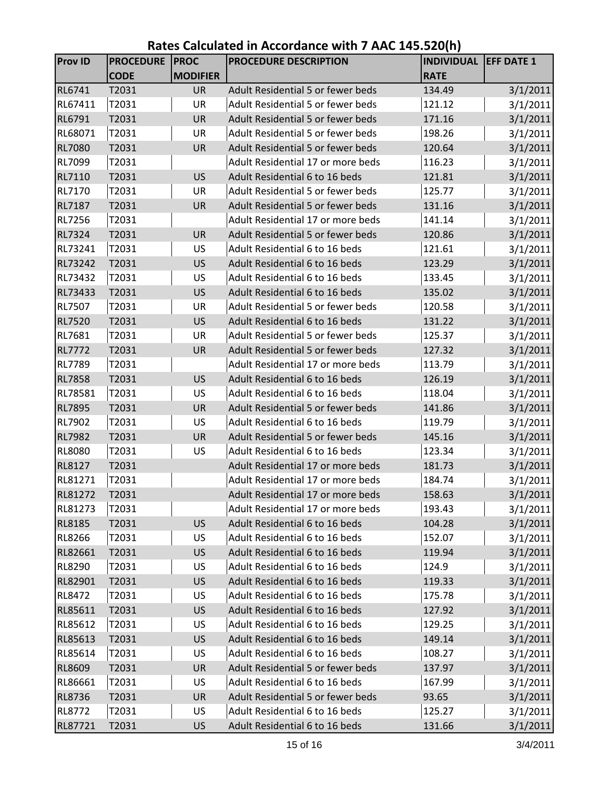| <b>Prov ID</b> | <b>PROCEDURE</b> | <b>PROC</b>     | PROCEDURE DESCRIPTION             | <b>INDIVIDUAL EFF DATE 1</b> |          |
|----------------|------------------|-----------------|-----------------------------------|------------------------------|----------|
|                | <b>CODE</b>      | <b>MODIFIER</b> |                                   | <b>RATE</b>                  |          |
| <b>RL6741</b>  | T2031            | <b>UR</b>       | Adult Residential 5 or fewer beds | 134.49                       | 3/1/2011 |
| RL67411        | T2031            | <b>UR</b>       | Adult Residential 5 or fewer beds | 121.12                       | 3/1/2011 |
| RL6791         | T2031            | <b>UR</b>       | Adult Residential 5 or fewer beds | 171.16                       | 3/1/2011 |
| RL68071        | T2031            | UR              | Adult Residential 5 or fewer beds | 198.26                       | 3/1/2011 |
| <b>RL7080</b>  | T2031            | <b>UR</b>       | Adult Residential 5 or fewer beds | 120.64                       | 3/1/2011 |
| RL7099         | T2031            |                 | Adult Residential 17 or more beds | 116.23                       | 3/1/2011 |
| RL7110         | T2031            | <b>US</b>       | Adult Residential 6 to 16 beds    | 121.81                       | 3/1/2011 |
| RL7170         | T2031            | UR              | Adult Residential 5 or fewer beds | 125.77                       | 3/1/2011 |
| <b>RL7187</b>  | T2031            | <b>UR</b>       | Adult Residential 5 or fewer beds | 131.16                       | 3/1/2011 |
| <b>RL7256</b>  | T2031            |                 | Adult Residential 17 or more beds | 141.14                       | 3/1/2011 |
| <b>RL7324</b>  | T2031            | <b>UR</b>       | Adult Residential 5 or fewer beds | 120.86                       | 3/1/2011 |
| RL73241        | T2031            | US              | Adult Residential 6 to 16 beds    | 121.61                       | 3/1/2011 |
| RL73242        | T2031            | <b>US</b>       | Adult Residential 6 to 16 beds    | 123.29                       | 3/1/2011 |
| RL73432        | T2031            | US              | Adult Residential 6 to 16 beds    | 133.45                       | 3/1/2011 |
| RL73433        | T2031            | <b>US</b>       | Adult Residential 6 to 16 beds    | 135.02                       | 3/1/2011 |
| <b>RL7507</b>  | T2031            | UR              | Adult Residential 5 or fewer beds | 120.58                       | 3/1/2011 |
| <b>RL7520</b>  | T2031            | <b>US</b>       | Adult Residential 6 to 16 beds    | 131.22                       | 3/1/2011 |
| RL7681         | T2031            | UR              | Adult Residential 5 or fewer beds | 125.37                       | 3/1/2011 |
| <b>RL7772</b>  | T2031            | <b>UR</b>       | Adult Residential 5 or fewer beds | 127.32                       | 3/1/2011 |
| <b>RL7789</b>  | T2031            |                 | Adult Residential 17 or more beds | 113.79                       | 3/1/2011 |
| <b>RL7858</b>  | T2031            | <b>US</b>       | Adult Residential 6 to 16 beds    | 126.19                       | 3/1/2011 |
| RL78581        | T2031            | US              | Adult Residential 6 to 16 beds    | 118.04                       | 3/1/2011 |
| <b>RL7895</b>  | T2031            | <b>UR</b>       | Adult Residential 5 or fewer beds | 141.86                       | 3/1/2011 |
| <b>RL7902</b>  | T2031            | US              | Adult Residential 6 to 16 beds    | 119.79                       | 3/1/2011 |
| <b>RL7982</b>  | T2031            | UR              | Adult Residential 5 or fewer beds | 145.16                       | 3/1/2011 |
| <b>RL8080</b>  | T2031            | US              | Adult Residential 6 to 16 beds    | 123.34                       | 3/1/2011 |
| <b>RL8127</b>  | T2031            |                 | Adult Residential 17 or more beds | 181.73                       | 3/1/2011 |
| RL81271        | T2031            |                 | Adult Residential 17 or more beds | 184.74                       | 3/1/2011 |
| <b>RL81272</b> | T2031            |                 | Adult Residential 17 or more beds | 158.63                       | 3/1/2011 |
| RL81273        | T2031            |                 | Adult Residential 17 or more beds | 193.43                       | 3/1/2011 |
| <b>RL8185</b>  | T2031            | <b>US</b>       | Adult Residential 6 to 16 beds    | 104.28                       | 3/1/2011 |
| <b>RL8266</b>  | T2031            | US              | Adult Residential 6 to 16 beds    | 152.07                       | 3/1/2011 |
| RL82661        | T2031            | <b>US</b>       | Adult Residential 6 to 16 beds    | 119.94                       | 3/1/2011 |
| RL8290         | T2031            | US              | Adult Residential 6 to 16 beds    | 124.9                        | 3/1/2011 |
| RL82901        | T2031            | <b>US</b>       | Adult Residential 6 to 16 beds    | 119.33                       | 3/1/2011 |
| <b>RL8472</b>  | T2031            | US              | Adult Residential 6 to 16 beds    | 175.78                       | 3/1/2011 |
| RL85611        | T2031            | <b>US</b>       | Adult Residential 6 to 16 beds    | 127.92                       | 3/1/2011 |
| RL85612        | T2031            | US              | Adult Residential 6 to 16 beds    | 129.25                       | 3/1/2011 |
| RL85613        | T2031            | <b>US</b>       | Adult Residential 6 to 16 beds    | 149.14                       | 3/1/2011 |
| RL85614        | T2031            | US              | Adult Residential 6 to 16 beds    | 108.27                       | 3/1/2011 |
| RL8609         | T2031            | UR              | Adult Residential 5 or fewer beds | 137.97                       | 3/1/2011 |
| RL86661        | T2031            | US              | Adult Residential 6 to 16 beds    | 167.99                       | 3/1/2011 |
| <b>RL8736</b>  | T2031            | UR              | Adult Residential 5 or fewer beds | 93.65                        | 3/1/2011 |
| RL8772         | T2031            | US              | Adult Residential 6 to 16 beds    | 125.27                       | 3/1/2011 |
| RL87721        | T2031            | <b>US</b>       | Adult Residential 6 to 16 beds    | 131.66                       | 3/1/2011 |